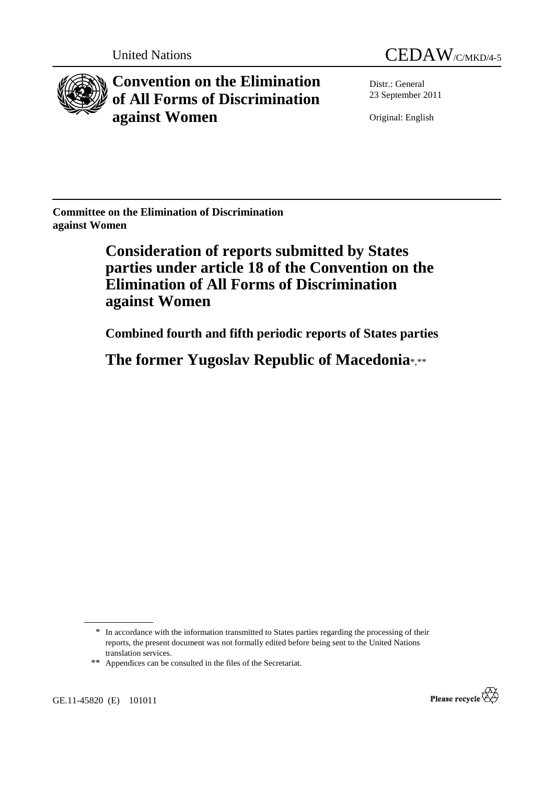



**Convention on the Elimination of All Forms of Discrimination against Women** 

Distr.: General 23 September 2011

Original: English

**Committee on the Elimination of Discrimination against Women** 

> **Consideration of reports submitted by States parties under article 18 of the Convention on the Elimination of All Forms of Discrimination against Women**

 **Combined fourth and fifth periodic reports of States parties** 

 **The former Yugoslav Republic of Macedonia**\*,\*\*

GE.11-45820 (E) 101011



<sup>\*</sup> In accordance with the information transmitted to States parties regarding the processing of their reports, the present document was not formally edited before being sent to the United Nations translation services.

<sup>\*\*</sup> Appendices can be consulted in the files of the Secretariat.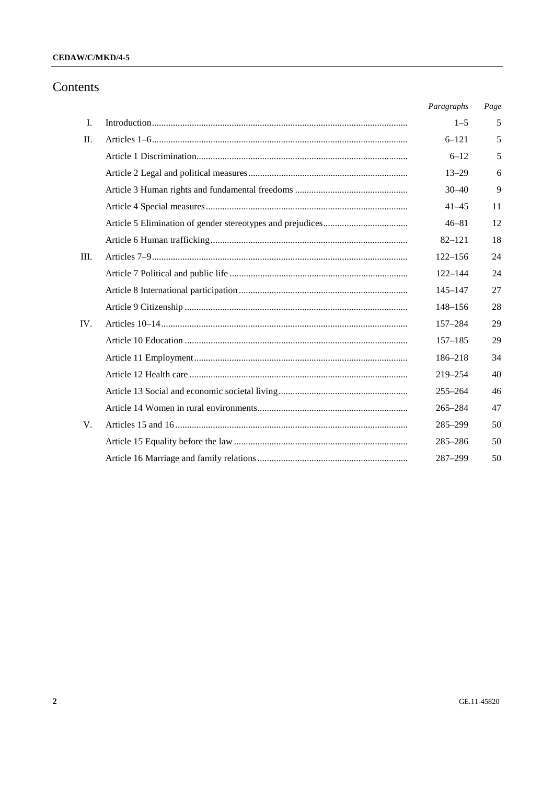#### CEDAW/C/MKD/4-5

## Contents

|             | Paragraphs  | Page |
|-------------|-------------|------|
| Ι.          | $1 - 5$     | 5    |
| $\Pi$ .     | $6 - 121$   | 5    |
|             | $6 - 12$    | 5    |
|             | $13 - 29$   | 6    |
|             | $30 - 40$   | 9    |
|             | $41 - 45$   | 11   |
|             | $46 - 81$   | 12   |
|             | $82 - 121$  | 18   |
| III.        | $122 - 156$ | 24   |
|             | $122 - 144$ | 24   |
|             | $145 - 147$ | 27   |
|             | $148 - 156$ | 28   |
| IV.         | $157 - 284$ | 29   |
|             | $157 - 185$ | 29   |
|             | 186-218     | 34   |
|             | 219-254     | 40   |
|             | $255 - 264$ | 46   |
|             | $265 - 284$ | 47   |
| $V_{\cdot}$ | 285-299     | 50   |
|             | $285 - 286$ | 50   |
|             | 287-299     | 50   |
|             |             |      |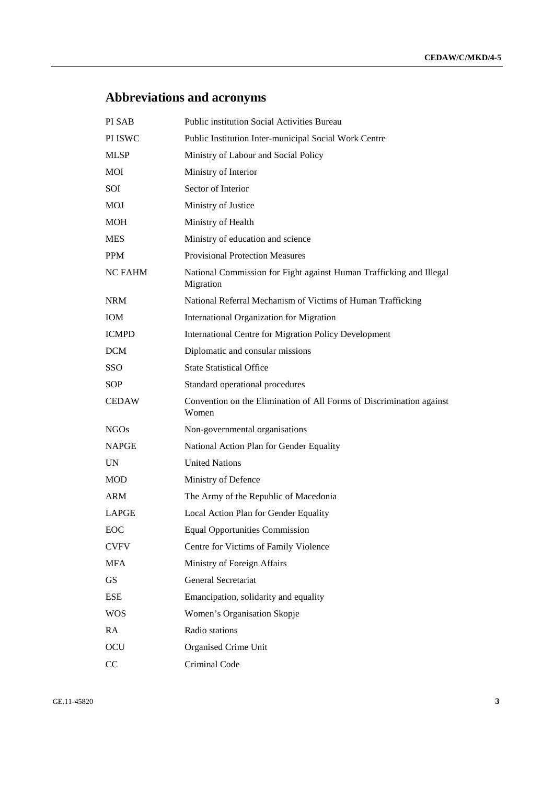# **Abbreviations and acronyms**

| PI SAB         | <b>Public institution Social Activities Bureau</b>                               |
|----------------|----------------------------------------------------------------------------------|
| PI ISWC        | Public Institution Inter-municipal Social Work Centre                            |
| <b>MLSP</b>    | Ministry of Labour and Social Policy                                             |
| MOI            | Ministry of Interior                                                             |
| SOI            | Sector of Interior                                                               |
| <b>MOJ</b>     | Ministry of Justice                                                              |
| MOH            | Ministry of Health                                                               |
| <b>MES</b>     | Ministry of education and science                                                |
| <b>PPM</b>     | <b>Provisional Protection Measures</b>                                           |
| <b>NC FAHM</b> | National Commission for Fight against Human Trafficking and Illegal<br>Migration |
| <b>NRM</b>     | National Referral Mechanism of Victims of Human Trafficking                      |
| <b>IOM</b>     | International Organization for Migration                                         |
| <b>ICMPD</b>   | International Centre for Migration Policy Development                            |
| <b>DCM</b>     | Diplomatic and consular missions                                                 |
| SSO            | <b>State Statistical Office</b>                                                  |
| <b>SOP</b>     | Standard operational procedures                                                  |
| <b>CEDAW</b>   | Convention on the Elimination of All Forms of Discrimination against<br>Women    |
| <b>NGOs</b>    | Non-governmental organisations                                                   |
| <b>NAPGE</b>   | National Action Plan for Gender Equality                                         |
| UN             | <b>United Nations</b>                                                            |
| MOD            | Ministry of Defence                                                              |
| <b>ARM</b>     | The Army of the Republic of Macedonia                                            |
| <b>LAPGE</b>   | Local Action Plan for Gender Equality                                            |
| EOC            | <b>Equal Opportunities Commission</b>                                            |
| <b>CVFV</b>    | Centre for Victims of Family Violence                                            |
| MFA            | Ministry of Foreign Affairs                                                      |
| GS             | General Secretariat                                                              |
| ESE            | Emancipation, solidarity and equality                                            |
| <b>WOS</b>     | Women's Organisation Skopje                                                      |
| RA             | Radio stations                                                                   |
| OCU            | Organised Crime Unit                                                             |
| CC             | Criminal Code                                                                    |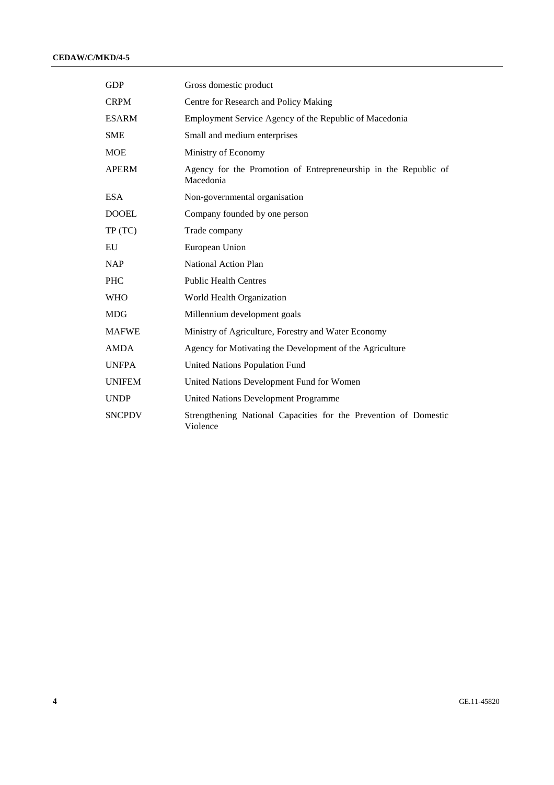#### **CEDAW/C/MKD/4-5**

| <b>GDP</b>    | Gross domestic product                                                       |
|---------------|------------------------------------------------------------------------------|
| <b>CRPM</b>   | Centre for Research and Policy Making                                        |
| <b>ESARM</b>  | Employment Service Agency of the Republic of Macedonia                       |
| <b>SME</b>    | Small and medium enterprises                                                 |
| <b>MOE</b>    | Ministry of Economy                                                          |
| <b>APERM</b>  | Agency for the Promotion of Entrepreneurship in the Republic of<br>Macedonia |
| <b>ESA</b>    | Non-governmental organisation                                                |
| <b>DOOEL</b>  | Company founded by one person                                                |
| TP(TC)        | Trade company                                                                |
| ${\rm EU}$    | European Union                                                               |
| <b>NAP</b>    | National Action Plan                                                         |
| <b>PHC</b>    | <b>Public Health Centres</b>                                                 |
| <b>WHO</b>    | World Health Organization                                                    |
| <b>MDG</b>    | Millennium development goals                                                 |
| <b>MAFWE</b>  | Ministry of Agriculture, Forestry and Water Economy                          |
| <b>AMDA</b>   | Agency for Motivating the Development of the Agriculture                     |
| <b>UNFPA</b>  | United Nations Population Fund                                               |
| <b>UNIFEM</b> | United Nations Development Fund for Women                                    |
| <b>UNDP</b>   | United Nations Development Programme                                         |
| <b>SNCPDV</b> | Strengthening National Capacities for the Prevention of Domestic<br>Violence |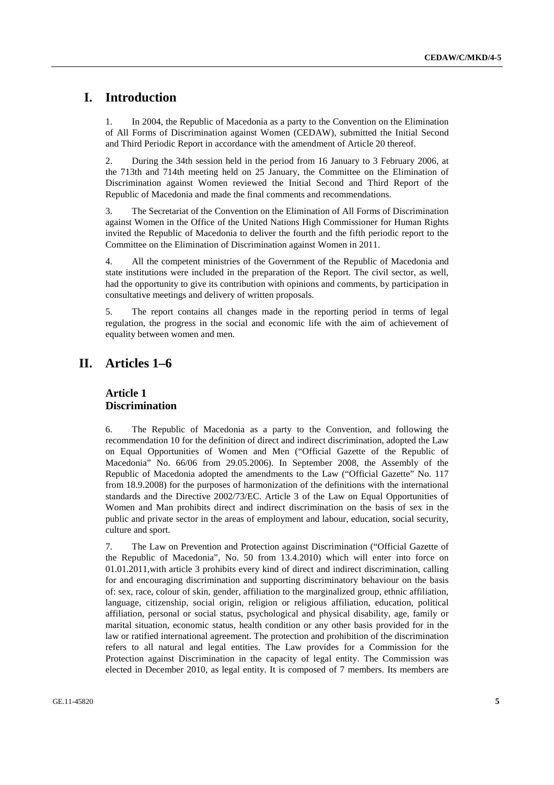## **I. Introduction**

1. In 2004, the Republic of Macedonia as a party to the Convention on the Elimination of All Forms of Discrimination against Women (CEDAW), submitted the Initial Second and Third Periodic Report in accordance with the amendment of Article 20 thereof.

2. During the 34th session held in the period from 16 January to 3 February 2006, at the 713th and 714th meeting held on 25 January, the Committee on the Elimination of Discrimination against Women reviewed the Initial Second and Third Report of the Republic of Macedonia and made the final comments and recommendations.

3. The Secretariat of the Convention on the Elimination of All Forms of Discrimination against Women in the Office of the United Nations High Commissioner for Human Rights invited the Republic of Macedonia to deliver the fourth and the fifth periodic report to the Committee on the Elimination of Discrimination against Women in 2011.

4. All the competent ministries of the Government of the Republic of Macedonia and state institutions were included in the preparation of the Report. The civil sector, as well, had the opportunity to give its contribution with opinions and comments, by participation in consultative meetings and delivery of written proposals.

5. The report contains all changes made in the reporting period in terms of legal regulation, the progress in the social and economic life with the aim of achievement of equality between women and men.

## **II. Articles 1–6**

#### **Article 1 Discrimination**

6. The Republic of Macedonia as a party to the Convention, and following the recommendation 10 for the definition of direct and indirect discrimination, adopted the Law on Equal Opportunities of Women and Men ("Official Gazette of the Republic of Macedonia" No. 66/06 from 29.05.2006). In September 2008, the Assembly of the Republic of Macedonia adopted the amendments to the Law ("Official Gazette" No. 117 from 18.9.2008) for the purposes of harmonization of the definitions with the international standards and the Directive 2002/73/EC. Article 3 of the Law on Equal Opportunities of Women and Man prohibits direct and indirect discrimination on the basis of sex in the public and private sector in the areas of employment and labour, education, social security, culture and sport.

7. The Law on Prevention and Protection against Discrimination ("Official Gazette of the Republic of Macedonia", No. 50 from 13.4.2010) which will enter into force on 01.01.2011,with article 3 prohibits every kind of direct and indirect discrimination, calling for and encouraging discrimination and supporting discriminatory behaviour on the basis of: sex, race, colour of skin, gender, affiliation to the marginalized group, ethnic affiliation, language, citizenship, social origin, religion or religious affiliation, education, political affiliation, personal or social status, psychological and physical disability, age, family or marital situation, economic status, health condition or any other basis provided for in the law or ratified international agreement. The protection and prohibition of the discrimination refers to all natural and legal entities. The Law provides for a Commission for the Protection against Discrimination in the capacity of legal entity. The Commission was elected in December 2010, as legal entity. It is composed of 7 members. Its members are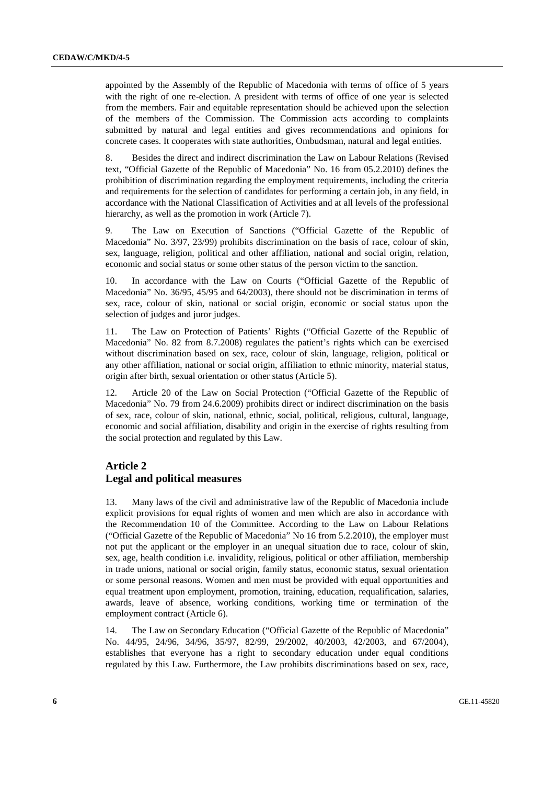appointed by the Assembly of the Republic of Macedonia with terms of office of 5 years with the right of one re-election. A president with terms of office of one year is selected from the members. Fair and equitable representation should be achieved upon the selection of the members of the Commission. The Commission acts according to complaints submitted by natural and legal entities and gives recommendations and opinions for concrete cases. It cooperates with state authorities, Ombudsman, natural and legal entities.

8. Besides the direct and indirect discrimination the Law on Labour Relations (Revised text, "Official Gazette of the Republic of Macedonia" No. 16 from 05.2.2010) defines the prohibition of discrimination regarding the employment requirements, including the criteria and requirements for the selection of candidates for performing a certain job, in any field, in accordance with the National Classification of Activities and at all levels of the professional hierarchy, as well as the promotion in work (Article 7).

9. The Law on Execution of Sanctions ("Official Gazette of the Republic of Macedonia" No. 3/97, 23/99) prohibits discrimination on the basis of race, colour of skin, sex, language, religion, political and other affiliation, national and social origin, relation, economic and social status or some other status of the person victim to the sanction.

10. In accordance with the Law on Courts ("Official Gazette of the Republic of Macedonia" No. 36/95, 45/95 and 64/2003), there should not be discrimination in terms of sex, race, colour of skin, national or social origin, economic or social status upon the selection of judges and juror judges.

11. The Law on Protection of Patients' Rights ("Official Gazette of the Republic of Macedonia" No. 82 from 8.7.2008) regulates the patient's rights which can be exercised without discrimination based on sex, race, colour of skin, language, religion, political or any other affiliation, national or social origin, affiliation to ethnic minority, material status, origin after birth, sexual orientation or other status (Article 5).

12. Article 20 of the Law on Social Protection ("Official Gazette of the Republic of Macedonia" No. 79 from 24.6.2009) prohibits direct or indirect discrimination on the basis of sex, race, colour of skin, national, ethnic, social, political, religious, cultural, language, economic and social affiliation, disability and origin in the exercise of rights resulting from the social protection and regulated by this Law.

#### **Article 2 Legal and political measures**

13. Many laws of the civil and administrative law of the Republic of Macedonia include explicit provisions for equal rights of women and men which are also in accordance with the Recommendation 10 of the Committee. According to the Law on Labour Relations ("Official Gazette of the Republic of Macedonia" No 16 from 5.2.2010), the employer must not put the applicant or the employer in an unequal situation due to race, colour of skin, sex, age, health condition i.e. invalidity, religious, political or other affiliation, membership in trade unions, national or social origin, family status, economic status, sexual orientation or some personal reasons. Women and men must be provided with equal opportunities and equal treatment upon employment, promotion, training, education, requalification, salaries, awards, leave of absence, working conditions, working time or termination of the employment contract (Article 6).

14. The Law on Secondary Education ("Official Gazette of the Republic of Macedonia" No. 44/95, 24/96, 34/96, 35/97, 82/99, 29/2002, 40/2003, 42/2003, and 67/2004), establishes that everyone has a right to secondary education under equal conditions regulated by this Law. Furthermore, the Law prohibits discriminations based on sex, race,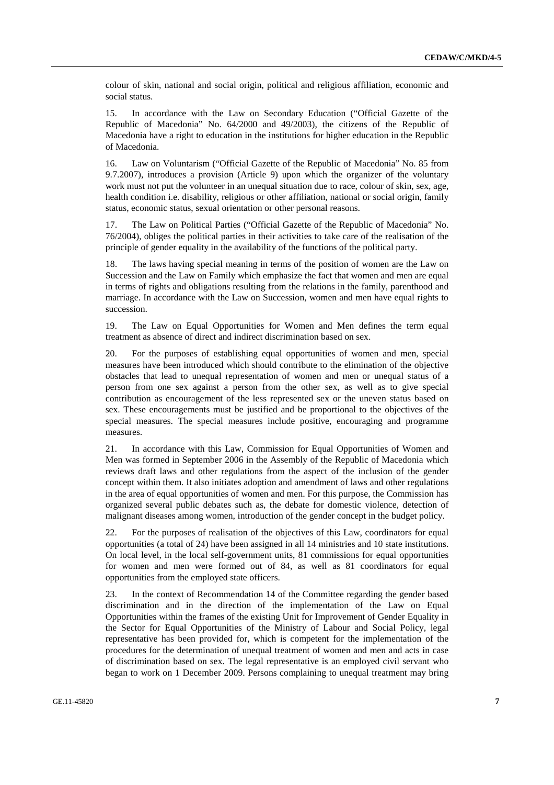colour of skin, national and social origin, political and religious affiliation, economic and social status.

15. In accordance with the Law on Secondary Education ("Official Gazette of the Republic of Macedonia" No. 64/2000 and 49/2003), the citizens of the Republic of Macedonia have a right to education in the institutions for higher education in the Republic of Macedonia.

16. Law on Voluntarism ("Official Gazette of the Republic of Macedonia" No. 85 from 9.7.2007), introduces a provision (Article 9) upon which the organizer of the voluntary work must not put the volunteer in an unequal situation due to race, colour of skin, sex, age, health condition i.e. disability, religious or other affiliation, national or social origin, family status, economic status, sexual orientation or other personal reasons.

17. The Law on Political Parties ("Official Gazette of the Republic of Macedonia" No. 76/2004), obliges the political parties in their activities to take care of the realisation of the principle of gender equality in the availability of the functions of the political party.

18. The laws having special meaning in terms of the position of women are the Law on Succession and the Law on Family which emphasize the fact that women and men are equal in terms of rights and obligations resulting from the relations in the family, parenthood and marriage. In accordance with the Law on Succession, women and men have equal rights to succession.

19. The Law on Equal Opportunities for Women and Men defines the term equal treatment as absence of direct and indirect discrimination based on sex.

20. For the purposes of establishing equal opportunities of women and men, special measures have been introduced which should contribute to the elimination of the objective obstacles that lead to unequal representation of women and men or unequal status of a person from one sex against a person from the other sex, as well as to give special contribution as encouragement of the less represented sex or the uneven status based on sex. These encouragements must be justified and be proportional to the objectives of the special measures. The special measures include positive, encouraging and programme measures.

21. In accordance with this Law, Commission for Equal Opportunities of Women and Men was formed in September 2006 in the Assembly of the Republic of Macedonia which reviews draft laws and other regulations from the aspect of the inclusion of the gender concept within them. It also initiates adoption and amendment of laws and other regulations in the area of equal opportunities of women and men. For this purpose, the Commission has organized several public debates such as, the debate for domestic violence, detection of malignant diseases among women, introduction of the gender concept in the budget policy.

22. For the purposes of realisation of the objectives of this Law, coordinators for equal opportunities (a total of 24) have been assigned in all 14 ministries and 10 state institutions. On local level, in the local self-government units, 81 commissions for equal opportunities for women and men were formed out of 84, as well as 81 coordinators for equal opportunities from the employed state officers.

23. In the context of Recommendation 14 of the Committee regarding the gender based discrimination and in the direction of the implementation of the Law on Equal Opportunities within the frames of the existing Unit for Improvement of Gender Equality in the Sector for Equal Opportunities of the Ministry of Labour and Social Policy, legal representative has been provided for, which is competent for the implementation of the procedures for the determination of unequal treatment of women and men and acts in case of discrimination based on sex. The legal representative is an employed civil servant who began to work on 1 December 2009. Persons complaining to unequal treatment may bring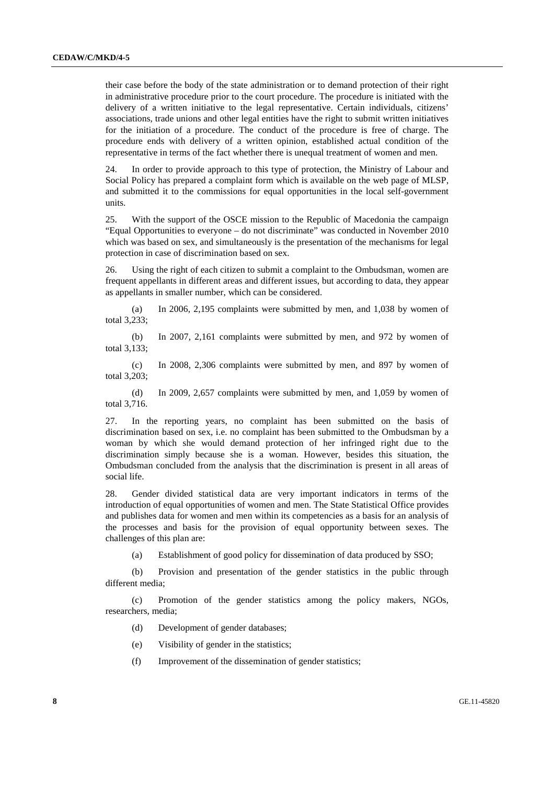their case before the body of the state administration or to demand protection of their right in administrative procedure prior to the court procedure. The procedure is initiated with the delivery of a written initiative to the legal representative. Certain individuals, citizens' associations, trade unions and other legal entities have the right to submit written initiatives for the initiation of a procedure. The conduct of the procedure is free of charge. The procedure ends with delivery of a written opinion, established actual condition of the representative in terms of the fact whether there is unequal treatment of women and men.

24. In order to provide approach to this type of protection, the Ministry of Labour and Social Policy has prepared a complaint form which is available on the web page of MLSP, and submitted it to the commissions for equal opportunities in the local self-government units.

25. With the support of the OSCE mission to the Republic of Macedonia the campaign "Equal Opportunities to everyone – do not discriminate" was conducted in November 2010 which was based on sex, and simultaneously is the presentation of the mechanisms for legal protection in case of discrimination based on sex.

26. Using the right of each citizen to submit a complaint to the Ombudsman, women are frequent appellants in different areas and different issues, but according to data, they appear as appellants in smaller number, which can be considered.

 (a) In 2006, 2,195 complaints were submitted by men, and 1,038 by women of total 3,233;

 (b) In 2007, 2,161 complaints were submitted by men, and 972 by women of total 3,133;

 (c) In 2008, 2,306 complaints were submitted by men, and 897 by women of total 3,203;

 (d) In 2009, 2,657 complaints were submitted by men, and 1,059 by women of total 3,716.

27. In the reporting years, no complaint has been submitted on the basis of discrimination based on sex, i.e. no complaint has been submitted to the Ombudsman by a woman by which she would demand protection of her infringed right due to the discrimination simply because she is a woman. However, besides this situation, the Ombudsman concluded from the analysis that the discrimination is present in all areas of social life.

28. Gender divided statistical data are very important indicators in terms of the introduction of equal opportunities of women and men. The State Statistical Office provides and publishes data for women and men within its competencies as a basis for an analysis of the processes and basis for the provision of equal opportunity between sexes. The challenges of this plan are:

(a) Establishment of good policy for dissemination of data produced by SSO;

 (b) Provision and presentation of the gender statistics in the public through different media;

 (c) Promotion of the gender statistics among the policy makers, NGOs, researchers, media;

- (d) Development of gender databases;
- (e) Visibility of gender in the statistics;
- (f) Improvement of the dissemination of gender statistics;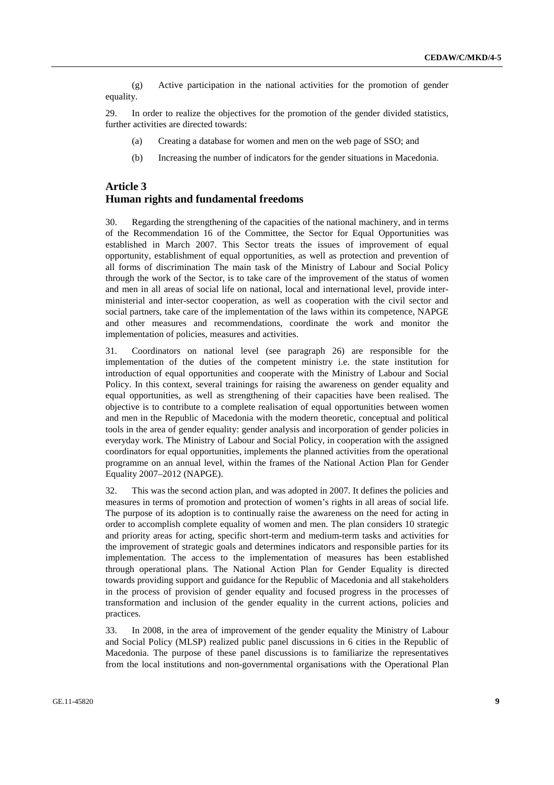(g) Active participation in the national activities for the promotion of gender equality.

29. In order to realize the objectives for the promotion of the gender divided statistics, further activities are directed towards:

- (a) Creating a database for women and men on the web page of SSO; and
- (b) Increasing the number of indicators for the gender situations in Macedonia.

#### **Article 3 Human rights and fundamental freedoms**

30. Regarding the strengthening of the capacities of the national machinery, and in terms of the Recommendation 16 of the Committee, the Sector for Equal Opportunities was established in March 2007. This Sector treats the issues of improvement of equal opportunity, establishment of equal opportunities, as well as protection and prevention of all forms of discrimination The main task of the Ministry of Labour and Social Policy through the work of the Sector, is to take care of the improvement of the status of women and men in all areas of social life on national, local and international level, provide interministerial and inter-sector cooperation, as well as cooperation with the civil sector and social partners, take care of the implementation of the laws within its competence, NAPGE and other measures and recommendations, coordinate the work and monitor the implementation of policies, measures and activities.

31. Coordinators on national level (see paragraph 26) are responsible for the implementation of the duties of the competent ministry i.e. the state institution for introduction of equal opportunities and cooperate with the Ministry of Labour and Social Policy. In this context, several trainings for raising the awareness on gender equality and equal opportunities, as well as strengthening of their capacities have been realised. The objective is to contribute to a complete realisation of equal opportunities between women and men in the Republic of Macedonia with the modern theoretic, conceptual and political tools in the area of gender equality: gender analysis and incorporation of gender policies in everyday work. The Ministry of Labour and Social Policy, in cooperation with the assigned coordinators for equal opportunities, implements the planned activities from the operational programme on an annual level, within the frames of the National Action Plan for Gender Equality 2007–2012 (NAPGE).

32. This was the second action plan, and was adopted in 2007. It defines the policies and measures in terms of promotion and protection of women's rights in all areas of social life. The purpose of its adoption is to continually raise the awareness on the need for acting in order to accomplish complete equality of women and men. The plan considers 10 strategic and priority areas for acting, specific short-term and medium-term tasks and activities for the improvement of strategic goals and determines indicators and responsible parties for its implementation. The access to the implementation of measures has been established through operational plans. The National Action Plan for Gender Equality is directed towards providing support and guidance for the Republic of Macedonia and all stakeholders in the process of provision of gender equality and focused progress in the processes of transformation and inclusion of the gender equality in the current actions, policies and practices.

33. In 2008, in the area of improvement of the gender equality the Ministry of Labour and Social Policy (MLSP) realized public panel discussions in 6 cities in the Republic of Macedonia. The purpose of these panel discussions is to familiarize the representatives from the local institutions and non-governmental organisations with the Operational Plan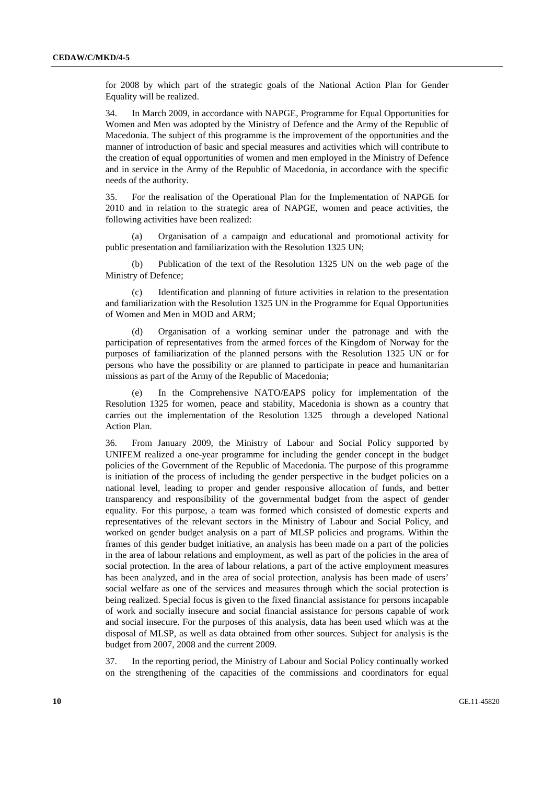for 2008 by which part of the strategic goals of the National Action Plan for Gender Equality will be realized.

34. In March 2009, in accordance with NAPGE, Programme for Equal Opportunities for Women and Men was adopted by the Ministry of Defence and the Army of the Republic of Macedonia. The subject of this programme is the improvement of the opportunities and the manner of introduction of basic and special measures and activities which will contribute to the creation of equal opportunities of women and men employed in the Ministry of Defence and in service in the Army of the Republic of Macedonia, in accordance with the specific needs of the authority.

35. For the realisation of the Operational Plan for the Implementation of NAPGE for 2010 and in relation to the strategic area of NAPGE, women and peace activities, the following activities have been realized:

 (a) Organisation of a campaign and educational and promotional activity for public presentation and familiarization with the Resolution 1325 UN;

Publication of the text of the Resolution 1325 UN on the web page of the Ministry of Defence;

 (c) Identification and planning of future activities in relation to the presentation and familiarization with the Resolution 1325 UN in the Programme for Equal Opportunities of Women and Men in MOD and ARM;

Organisation of a working seminar under the patronage and with the participation of representatives from the armed forces of the Kingdom of Norway for the purposes of familiarization of the planned persons with the Resolution 1325 UN or for persons who have the possibility or are planned to participate in peace and humanitarian missions as part of the Army of the Republic of Macedonia;

 (e) In the Comprehensive NATO/EAPS policy for implementation of the Resolution 1325 for women, peace and stability, Macedonia is shown as a country that carries out the implementation of the Resolution 1325 through a developed National Action Plan.

36. From January 2009, the Ministry of Labour and Social Policy supported by UNIFEM realized a one-year programme for including the gender concept in the budget policies of the Government of the Republic of Macedonia. The purpose of this programme is initiation of the process of including the gender perspective in the budget policies on a national level, leading to proper and gender responsive allocation of funds, and better transparency and responsibility of the governmental budget from the aspect of gender equality. For this purpose, a team was formed which consisted of domestic experts and representatives of the relevant sectors in the Ministry of Labour and Social Policy, and worked on gender budget analysis on a part of MLSP policies and programs. Within the frames of this gender budget initiative, an analysis has been made on a part of the policies in the area of labour relations and employment, as well as part of the policies in the area of social protection. In the area of labour relations, a part of the active employment measures has been analyzed, and in the area of social protection, analysis has been made of users' social welfare as one of the services and measures through which the social protection is being realized. Special focus is given to the fixed financial assistance for persons incapable of work and socially insecure and social financial assistance for persons capable of work and social insecure. For the purposes of this analysis, data has been used which was at the disposal of MLSP, as well as data obtained from other sources. Subject for analysis is the budget from 2007, 2008 and the current 2009.

37. In the reporting period, the Ministry of Labour and Social Policy continually worked on the strengthening of the capacities of the commissions and coordinators for equal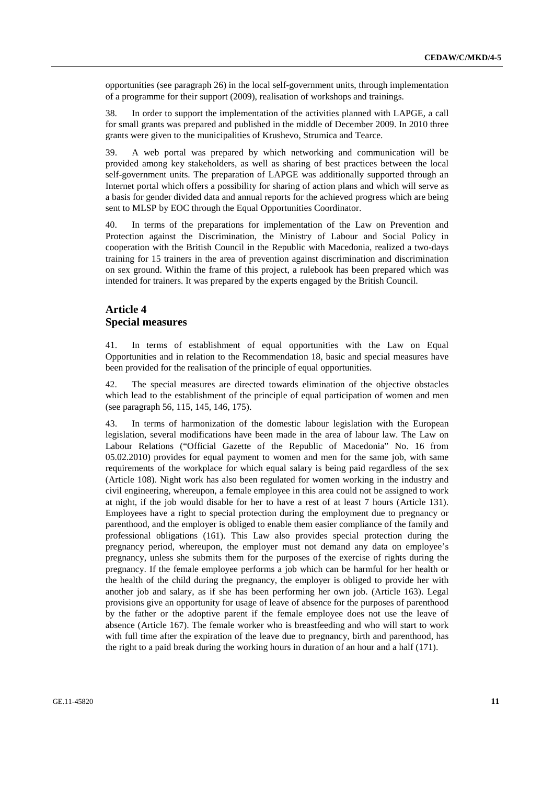opportunities (see paragraph 26) in the local self-government units, through implementation of a programme for their support (2009), realisation of workshops and trainings.

38. In order to support the implementation of the activities planned with LAPGE, a call for small grants was prepared and published in the middle of December 2009. In 2010 three grants were given to the municipalities of Krushevo, Strumica and Tearce.

39. A web portal was prepared by which networking and communication will be provided among key stakeholders, as well as sharing of best practices between the local self-government units. The preparation of LAPGE was additionally supported through an Internet portal which offers a possibility for sharing of action plans and which will serve as a basis for gender divided data and annual reports for the achieved progress which are being sent to MLSP by EOC through the Equal Opportunities Coordinator.

40. In terms of the preparations for implementation of the Law on Prevention and Protection against the Discrimination, the Ministry of Labour and Social Policy in cooperation with the British Council in the Republic with Macedonia, realized a two-days training for 15 trainers in the area of prevention against discrimination and discrimination on sex ground. Within the frame of this project, a rulebook has been prepared which was intended for trainers. It was prepared by the experts engaged by the British Council.

#### **Article 4 Special measures**

41. In terms of establishment of equal opportunities with the Law on Equal Opportunities and in relation to the Recommendation 18, basic and special measures have been provided for the realisation of the principle of equal opportunities.

42. The special measures are directed towards elimination of the objective obstacles which lead to the establishment of the principle of equal participation of women and men (see paragraph 56, 115, 145, 146, 175).

43. In terms of harmonization of the domestic labour legislation with the European legislation, several modifications have been made in the area of labour law. The Law on Labour Relations ("Official Gazette of the Republic of Macedonia" No. 16 from 05.02.2010) provides for equal payment to women and men for the same job, with same requirements of the workplace for which equal salary is being paid regardless of the sex (Article 108). Night work has also been regulated for women working in the industry and civil engineering, whereupon, a female employee in this area could not be assigned to work at night, if the job would disable for her to have a rest of at least 7 hours (Article 131). Employees have a right to special protection during the employment due to pregnancy or parenthood, and the employer is obliged to enable them easier compliance of the family and professional obligations (161). This Law also provides special protection during the pregnancy period, whereupon, the employer must not demand any data on employee's pregnancy, unless she submits them for the purposes of the exercise of rights during the pregnancy. If the female employee performs a job which can be harmful for her health or the health of the child during the pregnancy, the employer is obliged to provide her with another job and salary, as if she has been performing her own job. (Article 163). Legal provisions give an opportunity for usage of leave of absence for the purposes of parenthood by the father or the adoptive parent if the female employee does not use the leave of absence (Article 167). The female worker who is breastfeeding and who will start to work with full time after the expiration of the leave due to pregnancy, birth and parenthood, has the right to a paid break during the working hours in duration of an hour and a half (171).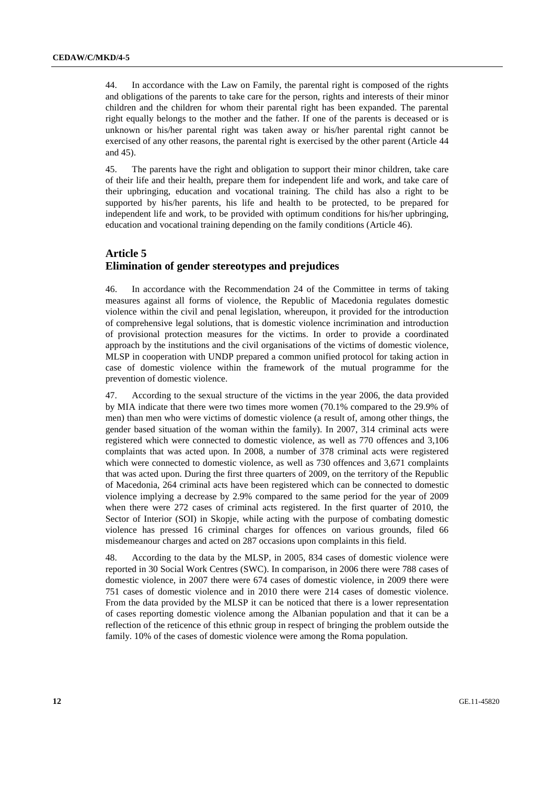44. In accordance with the Law on Family, the parental right is composed of the rights and obligations of the parents to take care for the person, rights and interests of their minor children and the children for whom their parental right has been expanded. The parental right equally belongs to the mother and the father. If one of the parents is deceased or is unknown or his/her parental right was taken away or his/her parental right cannot be exercised of any other reasons, the parental right is exercised by the other parent (Article 44 and 45).

45. The parents have the right and obligation to support their minor children, take care of their life and their health, prepare them for independent life and work, and take care of their upbringing, education and vocational training. The child has also a right to be supported by his/her parents, his life and health to be protected, to be prepared for independent life and work, to be provided with optimum conditions for his/her upbringing, education and vocational training depending on the family conditions (Article 46).

## **Article 5 Elimination of gender stereotypes and prejudices**

46. In accordance with the Recommendation 24 of the Committee in terms of taking measures against all forms of violence, the Republic of Macedonia regulates domestic violence within the civil and penal legislation, whereupon, it provided for the introduction of comprehensive legal solutions, that is domestic violence incrimination and introduction of provisional protection measures for the victims. In order to provide a coordinated approach by the institutions and the civil organisations of the victims of domestic violence, MLSP in cooperation with UNDP prepared a common unified protocol for taking action in case of domestic violence within the framework of the mutual programme for the prevention of domestic violence.

47. According to the sexual structure of the victims in the year 2006, the data provided by MIA indicate that there were two times more women (70.1% compared to the 29.9% of men) than men who were victims of domestic violence (a result of, among other things, the gender based situation of the woman within the family). In 2007, 314 criminal acts were registered which were connected to domestic violence, as well as 770 offences and 3,106 complaints that was acted upon. In 2008, a number of 378 criminal acts were registered which were connected to domestic violence, as well as 730 offences and 3,671 complaints that was acted upon. During the first three quarters of 2009, on the territory of the Republic of Macedonia, 264 criminal acts have been registered which can be connected to domestic violence implying a decrease by 2.9% compared to the same period for the year of 2009 when there were 272 cases of criminal acts registered. In the first quarter of 2010, the Sector of Interior (SOI) in Skopje, while acting with the purpose of combating domestic violence has pressed 16 criminal charges for offences on various grounds, filed 66 misdemeanour charges and acted on 287 occasions upon complaints in this field.

48. According to the data by the MLSP, in 2005, 834 cases of domestic violence were reported in 30 Social Work Centres (SWC). In comparison, in 2006 there were 788 cases of domestic violence, in 2007 there were 674 cases of domestic violence, in 2009 there were 751 cases of domestic violence and in 2010 there were 214 cases of domestic violence. From the data provided by the MLSP it can be noticed that there is a lower representation of cases reporting domestic violence among the Albanian population and that it can be a reflection of the reticence of this ethnic group in respect of bringing the problem outside the family. 10% of the cases of domestic violence were among the Roma population.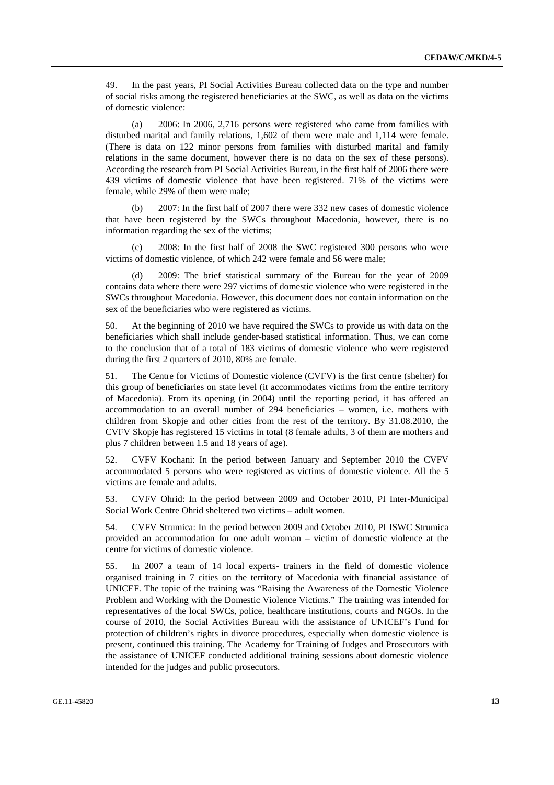49. In the past years, PI Social Activities Bureau collected data on the type and number of social risks among the registered beneficiaries at the SWC, as well as data on the victims of domestic violence:

 (a) 2006: In 2006, 2,716 persons were registered who came from families with disturbed marital and family relations, 1,602 of them were male and 1,114 were female. (There is data on 122 minor persons from families with disturbed marital and family relations in the same document, however there is no data on the sex of these persons). According the research from PI Social Activities Bureau, in the first half of 2006 there were 439 victims of domestic violence that have been registered. 71% of the victims were female, while 29% of them were male;

 (b) 2007: In the first half of 2007 there were 332 new cases of domestic violence that have been registered by the SWCs throughout Macedonia, however, there is no information regarding the sex of the victims;

 (c) 2008: In the first half of 2008 the SWC registered 300 persons who were victims of domestic violence, of which 242 were female and 56 were male;

 (d) 2009: The brief statistical summary of the Bureau for the year of 2009 contains data where there were 297 victims of domestic violence who were registered in the SWCs throughout Macedonia. However, this document does not contain information on the sex of the beneficiaries who were registered as victims.

50. At the beginning of 2010 we have required the SWCs to provide us with data on the beneficiaries which shall include gender-based statistical information. Thus, we can come to the conclusion that of a total of 183 victims of domestic violence who were registered during the first 2 quarters of 2010, 80% are female.

51. The Centre for Victims of Domestic violence (CVFV) is the first centre (shelter) for this group of beneficiaries on state level (it accommodates victims from the entire territory of Macedonia). From its opening (in 2004) until the reporting period, it has offered an accommodation to an overall number of 294 beneficiaries – women, i.e. mothers with children from Skopje and other cities from the rest of the territory. By 31.08.2010, the CVFV Skopje has registered 15 victims in total (8 female adults, 3 of them are mothers and plus 7 children between 1.5 and 18 years of age).

52. CVFV Kochani: In the period between January and September 2010 the CVFV accommodated 5 persons who were registered as victims of domestic violence. All the 5 victims are female and adults.

53. CVFV Ohrid: In the period between 2009 and October 2010, PI Inter-Municipal Social Work Centre Ohrid sheltered two victims – adult women.

54. CVFV Strumica: In the period between 2009 and October 2010, PI ISWC Strumica provided an accommodation for one adult woman – victim of domestic violence at the centre for victims of domestic violence.

55. In 2007 a team of 14 local experts- trainers in the field of domestic violence organised training in 7 cities on the territory of Macedonia with financial assistance of UNICEF. The topic of the training was "Raising the Awareness of the Domestic Violence Problem and Working with the Domestic Violence Victims." The training was intended for representatives of the local SWCs, police, healthcare institutions, courts and NGOs. In the course of 2010, the Social Activities Bureau with the assistance of UNICEF's Fund for protection of children's rights in divorce procedures, especially when domestic violence is present, continued this training. The Academy for Training of Judges and Prosecutors with the assistance of UNICEF conducted additional training sessions about domestic violence intended for the judges and public prosecutors.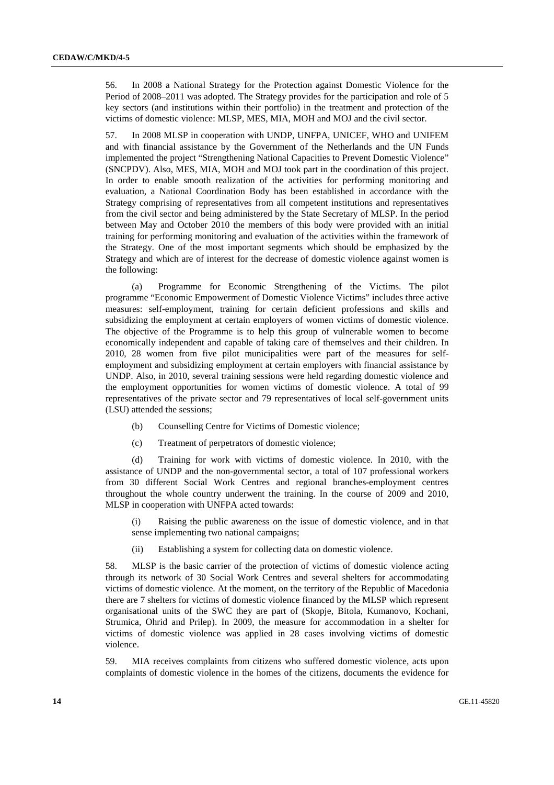56. In 2008 a National Strategy for the Protection against Domestic Violence for the Period of 2008–2011 was adopted. The Strategy provides for the participation and role of 5 key sectors (and institutions within their portfolio) in the treatment and protection of the victims of domestic violence: MLSP, MES, MIA, MOH and MOJ and the civil sector.

57. In 2008 MLSP in cooperation with UNDP, UNFPA, UNICEF, WHO and UNIFEM and with financial assistance by the Government of the Netherlands and the UN Funds implemented the project "Strengthening National Capacities to Prevent Domestic Violence" (SNCPDV). Also, MES, MIA, MOH and MOJ took part in the coordination of this project. In order to enable smooth realization of the activities for performing monitoring and evaluation, a National Coordination Body has been established in accordance with the Strategy comprising of representatives from all competent institutions and representatives from the civil sector and being administered by the State Secretary of MLSP. In the period between May and October 2010 the members of this body were provided with an initial training for performing monitoring and evaluation of the activities within the framework of the Strategy. One of the most important segments which should be emphasized by the Strategy and which are of interest for the decrease of domestic violence against women is the following:

 (a) Programme for Economic Strengthening of the Victims. The pilot programme "Economic Empowerment of Domestic Violence Victims" includes three active measures: self-employment, training for certain deficient professions and skills and subsidizing the employment at certain employers of women victims of domestic violence. The objective of the Programme is to help this group of vulnerable women to become economically independent and capable of taking care of themselves and their children. In 2010, 28 women from five pilot municipalities were part of the measures for selfemployment and subsidizing employment at certain employers with financial assistance by UNDP. Also, in 2010, several training sessions were held regarding domestic violence and the employment opportunities for women victims of domestic violence. A total of 99 representatives of the private sector and 79 representatives of local self-government units (LSU) attended the sessions;

- (b) Counselling Centre for Victims of Domestic violence;
- (c) Treatment of perpetrators of domestic violence;

 (d) Training for work with victims of domestic violence. In 2010, with the assistance of UNDP and the non-governmental sector, a total of 107 professional workers from 30 different Social Work Centres and regional branches-employment centres throughout the whole country underwent the training. In the course of 2009 and 2010, MLSP in cooperation with UNFPA acted towards:

 (i) Raising the public awareness on the issue of domestic violence, and in that sense implementing two national campaigns;

(ii) Establishing a system for collecting data on domestic violence.

58. MLSP is the basic carrier of the protection of victims of domestic violence acting through its network of 30 Social Work Centres and several shelters for accommodating victims of domestic violence. At the moment, on the territory of the Republic of Macedonia there are 7 shelters for victims of domestic violence financed by the MLSP which represent organisational units of the SWC they are part of (Skopje, Bitola, Kumanovo, Kochani, Strumica, Ohrid and Prilep). In 2009, the measure for accommodation in a shelter for victims of domestic violence was applied in 28 cases involving victims of domestic violence.

59. MIA receives complaints from citizens who suffered domestic violence, acts upon complaints of domestic violence in the homes of the citizens, documents the evidence for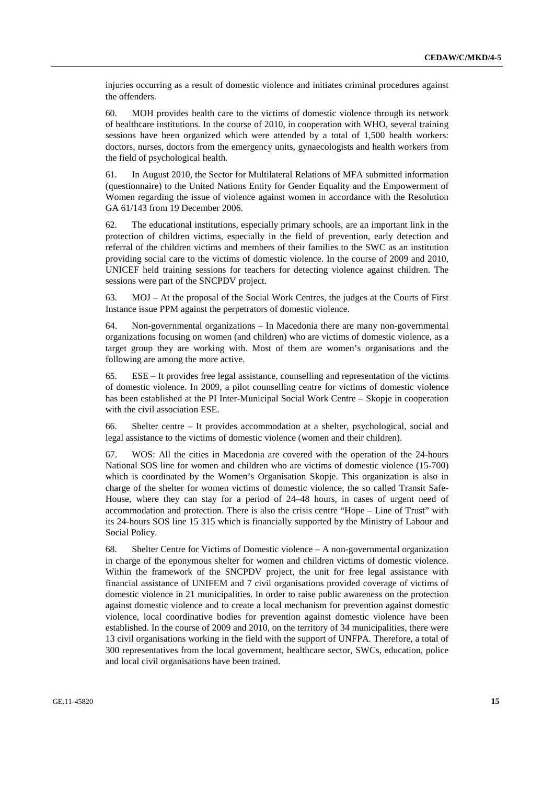injuries occurring as a result of domestic violence and initiates criminal procedures against the offenders.

60. MOH provides health care to the victims of domestic violence through its network of healthcare institutions. In the course of 2010, in cooperation with WHO, several training sessions have been organized which were attended by a total of 1,500 health workers: doctors, nurses, doctors from the emergency units, gynaecologists and health workers from the field of psychological health.

61. In August 2010, the Sector for Multilateral Relations of MFA submitted information (questionnaire) to the United Nations Entity for Gender Equality and the Empowerment of Women regarding the issue of violence against women in accordance with the Resolution GA 61/143 from 19 December 2006.

62. The educational institutions, especially primary schools, are an important link in the protection of children victims, especially in the field of prevention, early detection and referral of the children victims and members of their families to the SWC as an institution providing social care to the victims of domestic violence. In the course of 2009 and 2010, UNICEF held training sessions for teachers for detecting violence against children. The sessions were part of the SNCPDV project.

63. MOJ – At the proposal of the Social Work Centres, the judges at the Courts of First Instance issue PPM against the perpetrators of domestic violence.

64. Non-governmental organizations – In Macedonia there are many non-governmental organizations focusing on women (and children) who are victims of domestic violence, as a target group they are working with. Most of them are women's organisations and the following are among the more active.

65. ESE – It provides free legal assistance, counselling and representation of the victims of domestic violence. In 2009, a pilot counselling centre for victims of domestic violence has been established at the PI Inter-Municipal Social Work Centre – Skopje in cooperation with the civil association ESE.

66. Shelter centre – It provides accommodation at a shelter, psychological, social and legal assistance to the victims of domestic violence (women and their children).

67. WOS: All the cities in Macedonia are covered with the operation of the 24-hours National SOS line for women and children who are victims of domestic violence (15-700) which is coordinated by the Women's Organisation Skopje. This organization is also in charge of the shelter for women victims of domestic violence, the so called Transit Safe-House, where they can stay for a period of 24–48 hours, in cases of urgent need of accommodation and protection. There is also the crisis centre "Hope – Line of Trust" with its 24-hours SOS line 15 315 which is financially supported by the Ministry of Labour and Social Policy.

68. Shelter Centre for Victims of Domestic violence – A non-governmental organization in charge of the eponymous shelter for women and children victims of domestic violence. Within the framework of the SNCPDV project, the unit for free legal assistance with financial assistance of UNIFEM and 7 civil organisations provided coverage of victims of domestic violence in 21 municipalities. In order to raise public awareness on the protection against domestic violence and to create a local mechanism for prevention against domestic violence, local coordinative bodies for prevention against domestic violence have been established. In the course of 2009 and 2010, on the territory of 34 municipalities, there were 13 civil organisations working in the field with the support of UNFPA. Therefore, a total of 300 representatives from the local government, healthcare sector, SWCs, education, police and local civil organisations have been trained.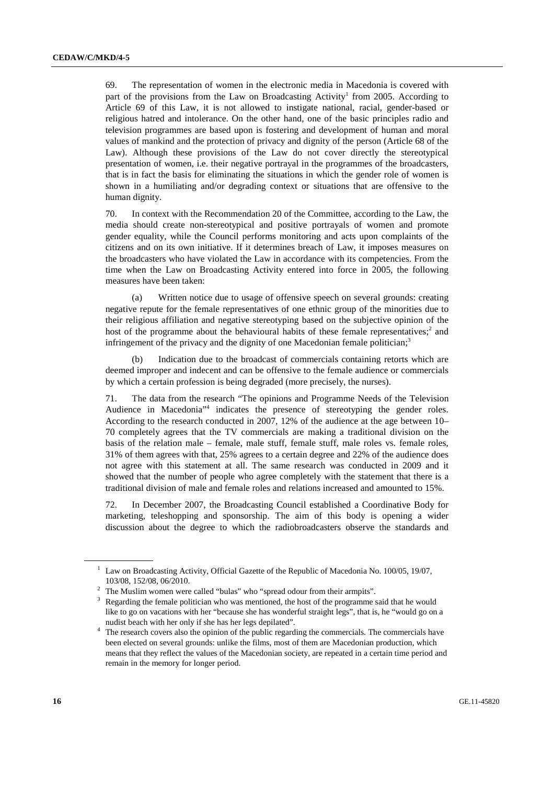69. The representation of women in the electronic media in Macedonia is covered with part of the provisions from the Law on Broadcasting Activity<sup>1</sup> from 2005. According to Article 69 of this Law, it is not allowed to instigate national, racial, gender-based or religious hatred and intolerance. On the other hand, one of the basic principles radio and television programmes are based upon is fostering and development of human and moral values of mankind and the protection of privacy and dignity of the person (Article 68 of the Law). Although these provisions of the Law do not cover directly the stereotypical presentation of women, i.e. their negative portrayal in the programmes of the broadcasters, that is in fact the basis for eliminating the situations in which the gender role of women is shown in a humiliating and/or degrading context or situations that are offensive to the human dignity.

70. In context with the Recommendation 20 of the Committee, according to the Law, the media should create non-stereotypical and positive portrayals of women and promote gender equality, while the Council performs monitoring and acts upon complaints of the citizens and on its own initiative. If it determines breach of Law, it imposes measures on the broadcasters who have violated the Law in accordance with its competencies. From the time when the Law on Broadcasting Activity entered into force in 2005, the following measures have been taken:

 (a) Written notice due to usage of offensive speech on several grounds: creating negative repute for the female representatives of one ethnic group of the minorities due to their religious affiliation and negative stereotyping based on the subjective opinion of the host of the programme about the behavioural habits of these female representatives;<sup>2</sup> and infringement of the privacy and the dignity of one Macedonian female politician;<sup>3</sup>

 (b) Indication due to the broadcast of commercials containing retorts which are deemed improper and indecent and can be offensive to the female audience or commercials by which a certain profession is being degraded (more precisely, the nurses).

71. The data from the research "The opinions and Programme Needs of the Television Audience in Macedonia"4 indicates the presence of stereotyping the gender roles. According to the research conducted in 2007, 12% of the audience at the age between 10– 70 completely agrees that the TV commercials are making a traditional division on the basis of the relation male – female, male stuff, female stuff, male roles vs. female roles, 31% of them agrees with that, 25% agrees to a certain degree and 22% of the audience does not agree with this statement at all. The same research was conducted in 2009 and it showed that the number of people who agree completely with the statement that there is a traditional division of male and female roles and relations increased and amounted to 15%.

72. In December 2007, the Broadcasting Council established a Coordinative Body for marketing, teleshopping and sponsorship. The aim of this body is opening a wider discussion about the degree to which the radiobroadcasters observe the standards and

<sup>&</sup>lt;sup>1</sup> Law on Broadcasting Activity, Official Gazette of the Republic of Macedonia No. 100/05, 19/07,

<sup>103/08, 152/08, 06/2010.&</sup>lt;br><sup>2</sup> The Muslim women were called "bulas" who "spread odour from their armpits".

 $3$  Regarding the female politician who was mentioned, the host of the programme said that he would like to go on vacations with her "because she has wonderful straight legs", that is, he "would go on a nudist beach with her only if she has her legs depilated". 4

<sup>&</sup>lt;sup>4</sup> The research covers also the opinion of the public regarding the commercials. The commercials have been elected on several grounds: unlike the films, most of them are Macedonian production, which means that they reflect the values of the Macedonian society, are repeated in a certain time period and remain in the memory for longer period.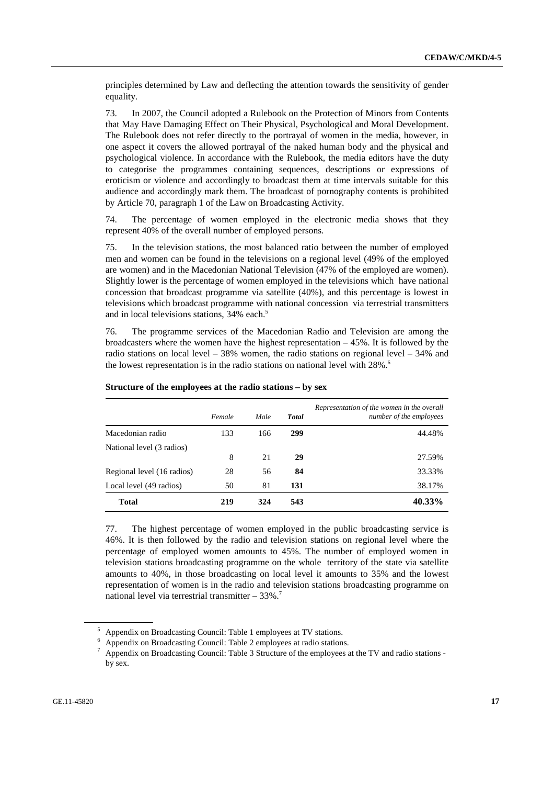principles determined by Law and deflecting the attention towards the sensitivity of gender equality.

73. In 2007, the Council adopted a Rulebook on the Protection of Minors from Contents that May Have Damaging Effect on Their Physical, Psychological and Moral Development. The Rulebook does not refer directly to the portrayal of women in the media, however, in one aspect it covers the allowed portrayal of the naked human body and the physical and psychological violence. In accordance with the Rulebook, the media editors have the duty to categorise the programmes containing sequences, descriptions or expressions of eroticism or violence and accordingly to broadcast them at time intervals suitable for this audience and accordingly mark them. The broadcast of pornography contents is prohibited by Article 70, paragraph 1 of the Law on Broadcasting Activity.

74. The percentage of women employed in the electronic media shows that they represent 40% of the overall number of employed persons.

75. In the television stations, the most balanced ratio between the number of employed men and women can be found in the televisions on a regional level (49% of the employed are women) and in the Macedonian National Television (47% of the employed are women). Slightly lower is the percentage of women employed in the televisions which have national concession that broadcast programme via satellite (40%), and this percentage is lowest in televisions which broadcast programme with national concession via terrestrial transmitters and in local televisions stations, 34% each.<sup>5</sup>

76. The programme services of the Macedonian Radio and Television are among the broadcasters where the women have the highest representation  $-45\%$ . It is followed by the radio stations on local level – 38% women, the radio stations on regional level – 34% and the lowest representation is in the radio stations on national level with  $28\%$ .<sup>6</sup>

|                            | Female | Male | <b>Total</b> | Representation of the women in the overall<br>number of the employees |
|----------------------------|--------|------|--------------|-----------------------------------------------------------------------|
| Macedonian radio           | 133    | 166  | 299          | 44.48%                                                                |
| National level (3 radios)  |        |      |              |                                                                       |
|                            | 8      | 21   | 29           | 27.59%                                                                |
| Regional level (16 radios) | 28     | 56   | 84           | 33.33%                                                                |
| Local level (49 radios)    | 50     | 81   | 131          | 38.17%                                                                |
| <b>Total</b>               | 219    | 324  | 543          | 40.33%                                                                |

#### **Structure of the employees at the radio stations – by sex**

77. The highest percentage of women employed in the public broadcasting service is 46%. It is then followed by the radio and television stations on regional level where the percentage of employed women amounts to 45%. The number of employed women in television stations broadcasting programme on the whole territory of the state via satellite amounts to 40%, in those broadcasting on local level it amounts to 35% and the lowest representation of women is in the radio and television stations broadcasting programme on national level via terrestrial transmitter  $-33\%$ .<sup>7</sup>

<sup>&</sup>lt;sup>5</sup> Appendix on Broadcasting Council: Table 1 employees at TV stations.

<sup>6</sup> Appendix on Broadcasting Council: Table 2 employees at radio stations.

Appendix on Broadcasting Council: Table 3 Structure of the employees at the TV and radio stations by sex.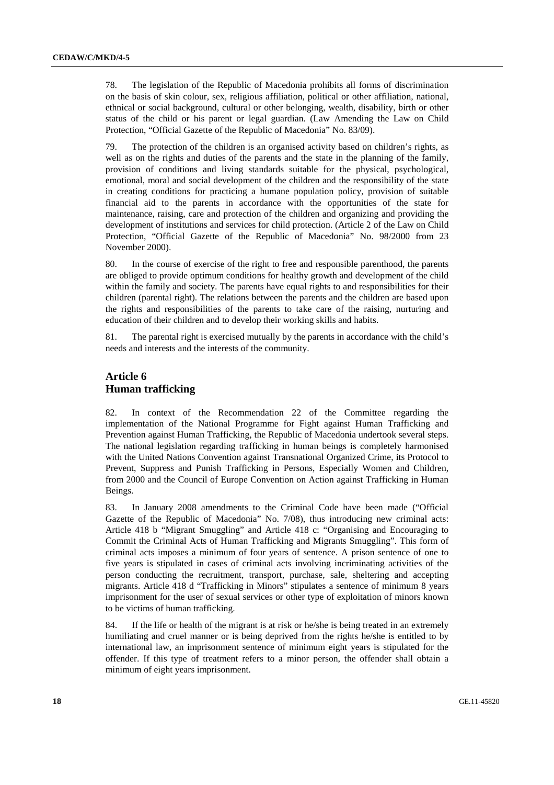78. The legislation of the Republic of Macedonia prohibits all forms of discrimination on the basis of skin colour, sex, religious affiliation, political or other affiliation, national, ethnical or social background, cultural or other belonging, wealth, disability, birth or other status of the child or his parent or legal guardian. (Law Amending the Law on Child Protection, "Official Gazette of the Republic of Macedonia" No. 83/09).

79. The protection of the children is an organised activity based on children's rights, as well as on the rights and duties of the parents and the state in the planning of the family, provision of conditions and living standards suitable for the physical, psychological, emotional, moral and social development of the children and the responsibility of the state in creating conditions for practicing a humane population policy, provision of suitable financial aid to the parents in accordance with the opportunities of the state for maintenance, raising, care and protection of the children and organizing and providing the development of institutions and services for child protection. (Article 2 of the Law on Child Protection, "Official Gazette of the Republic of Macedonia" No. 98/2000 from 23 November 2000).

80. In the course of exercise of the right to free and responsible parenthood, the parents are obliged to provide optimum conditions for healthy growth and development of the child within the family and society. The parents have equal rights to and responsibilities for their children (parental right). The relations between the parents and the children are based upon the rights and responsibilities of the parents to take care of the raising, nurturing and education of their children and to develop their working skills and habits.

81. The parental right is exercised mutually by the parents in accordance with the child's needs and interests and the interests of the community.

#### **Article 6 Human trafficking**

82. In context of the Recommendation 22 of the Committee regarding the implementation of the National Programme for Fight against Human Trafficking and Prevention against Human Trafficking, the Republic of Macedonia undertook several steps. The national legislation regarding trafficking in human beings is completely harmonised with the United Nations Convention against Transnational Organized Crime, its Protocol to Prevent, Suppress and Punish Trafficking in Persons, Especially Women and Children, from 2000 and the Council of Europe Convention on Action against Trafficking in Human Beings.

83. In January 2008 amendments to the Criminal Code have been made ("Official Gazette of the Republic of Macedonia" No. 7/08), thus introducing new criminal acts: Article 418 b "Migrant Smuggling" and Article 418 c: "Organising and Encouraging to Commit the Criminal Acts of Human Trafficking and Migrants Smuggling". This form of criminal acts imposes a minimum of four years of sentence. A prison sentence of one to five years is stipulated in cases of criminal acts involving incriminating activities of the person conducting the recruitment, transport, purchase, sale, sheltering and accepting migrants. Article 418 d "Trafficking in Minors" stipulates a sentence of minimum 8 years imprisonment for the user of sexual services or other type of exploitation of minors known to be victims of human trafficking.

84. If the life or health of the migrant is at risk or he/she is being treated in an extremely humiliating and cruel manner or is being deprived from the rights he/she is entitled to by international law, an imprisonment sentence of minimum eight years is stipulated for the offender. If this type of treatment refers to a minor person, the offender shall obtain a minimum of eight years imprisonment.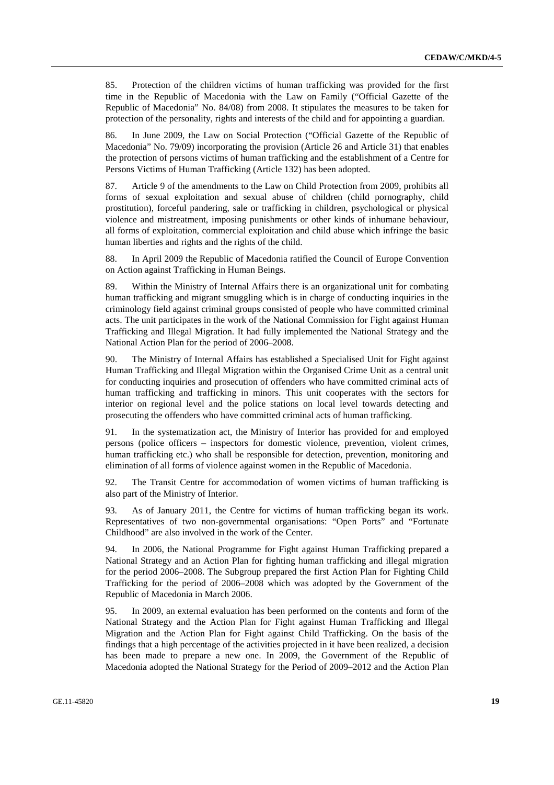85. Protection of the children victims of human trafficking was provided for the first time in the Republic of Macedonia with the Law on Family ("Official Gazette of the Republic of Macedonia" No. 84/08) from 2008. It stipulates the measures to be taken for protection of the personality, rights and interests of the child and for appointing a guardian.

86. In June 2009, the Law on Social Protection ("Official Gazette of the Republic of Macedonia" No. 79/09) incorporating the provision (Article 26 and Article 31) that enables the protection of persons victims of human trafficking and the establishment of a Centre for Persons Victims of Human Trafficking (Article 132) has been adopted.

87. Article 9 of the amendments to the Law on Child Protection from 2009, prohibits all forms of sexual exploitation and sexual abuse of children (child pornography, child prostitution), forceful pandering, sale or trafficking in children, psychological or physical violence and mistreatment, imposing punishments or other kinds of inhumane behaviour, all forms of exploitation, commercial exploitation and child abuse which infringe the basic human liberties and rights and the rights of the child.

88. In April 2009 the Republic of Macedonia ratified the Council of Europe Convention on Action against Trafficking in Human Beings.

89. Within the Ministry of Internal Affairs there is an organizational unit for combating human trafficking and migrant smuggling which is in charge of conducting inquiries in the criminology field against criminal groups consisted of people who have committed criminal acts. The unit participates in the work of the National Commission for Fight against Human Trafficking and Illegal Migration. It had fully implemented the National Strategy and the National Action Plan for the period of 2006–2008.

90. The Ministry of Internal Affairs has established a Specialised Unit for Fight against Human Trafficking and Illegal Migration within the Organised Crime Unit as a central unit for conducting inquiries and prosecution of offenders who have committed criminal acts of human trafficking and trafficking in minors. This unit cooperates with the sectors for interior on regional level and the police stations on local level towards detecting and prosecuting the offenders who have committed criminal acts of human trafficking.

91. In the systematization act, the Ministry of Interior has provided for and employed persons (police officers – inspectors for domestic violence, prevention, violent crimes, human trafficking etc.) who shall be responsible for detection, prevention, monitoring and elimination of all forms of violence against women in the Republic of Macedonia.

92. The Transit Centre for accommodation of women victims of human trafficking is also part of the Ministry of Interior.

93. As of January 2011, the Centre for victims of human trafficking began its work. Representatives of two non-governmental organisations: "Open Ports" and "Fortunate Childhood" are also involved in the work of the Center.

94. In 2006, the National Programme for Fight against Human Trafficking prepared a National Strategy and an Action Plan for fighting human trafficking and illegal migration for the period 2006–2008. The Subgroup prepared the first Action Plan for Fighting Child Trafficking for the period of 2006–2008 which was adopted by the Government of the Republic of Macedonia in March 2006.

95. In 2009, an external evaluation has been performed on the contents and form of the National Strategy and the Action Plan for Fight against Human Trafficking and Illegal Migration and the Action Plan for Fight against Child Trafficking. On the basis of the findings that a high percentage of the activities projected in it have been realized, a decision has been made to prepare a new one. In 2009, the Government of the Republic of Macedonia adopted the National Strategy for the Period of 2009–2012 and the Action Plan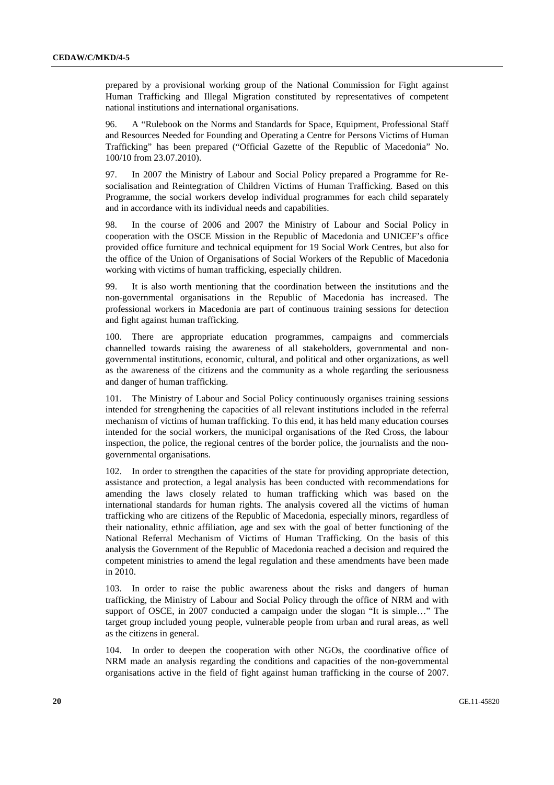prepared by a provisional working group of the National Commission for Fight against Human Trafficking and Illegal Migration constituted by representatives of competent national institutions and international organisations.

96. A "Rulebook on the Norms and Standards for Space, Equipment, Professional Staff and Resources Needed for Founding and Operating a Centre for Persons Victims of Human Trafficking" has been prepared ("Official Gazette of the Republic of Macedonia" No. 100/10 from 23.07.2010).

97. In 2007 the Ministry of Labour and Social Policy prepared a Programme for Resocialisation and Reintegration of Children Victims of Human Trafficking. Based on this Programme, the social workers develop individual programmes for each child separately and in accordance with its individual needs and capabilities.

98. In the course of 2006 and 2007 the Ministry of Labour and Social Policy in cooperation with the OSCE Mission in the Republic of Macedonia and UNICEF's office provided office furniture and technical equipment for 19 Social Work Centres, but also for the office of the Union of Organisations of Social Workers of the Republic of Macedonia working with victims of human trafficking, especially children.

99. It is also worth mentioning that the coordination between the institutions and the non-governmental organisations in the Republic of Macedonia has increased. The professional workers in Macedonia are part of continuous training sessions for detection and fight against human trafficking.

100. There are appropriate education programmes, campaigns and commercials channelled towards raising the awareness of all stakeholders, governmental and nongovernmental institutions, economic, cultural, and political and other organizations, as well as the awareness of the citizens and the community as a whole regarding the seriousness and danger of human trafficking.

101. The Ministry of Labour and Social Policy continuously organises training sessions intended for strengthening the capacities of all relevant institutions included in the referral mechanism of victims of human trafficking. To this end, it has held many education courses intended for the social workers, the municipal organisations of the Red Cross, the labour inspection, the police, the regional centres of the border police, the journalists and the nongovernmental organisations.

102. In order to strengthen the capacities of the state for providing appropriate detection, assistance and protection, a legal analysis has been conducted with recommendations for amending the laws closely related to human trafficking which was based on the international standards for human rights. The analysis covered all the victims of human trafficking who are citizens of the Republic of Macedonia, especially minors, regardless of their nationality, ethnic affiliation, age and sex with the goal of better functioning of the National Referral Mechanism of Victims of Human Trafficking. On the basis of this analysis the Government of the Republic of Macedonia reached a decision and required the competent ministries to amend the legal regulation and these amendments have been made in 2010.

103. In order to raise the public awareness about the risks and dangers of human trafficking, the Ministry of Labour and Social Policy through the office of NRM and with support of OSCE, in 2007 conducted a campaign under the slogan "It is simple…" The target group included young people, vulnerable people from urban and rural areas, as well as the citizens in general.

104. In order to deepen the cooperation with other NGOs, the coordinative office of NRM made an analysis regarding the conditions and capacities of the non-governmental organisations active in the field of fight against human trafficking in the course of 2007.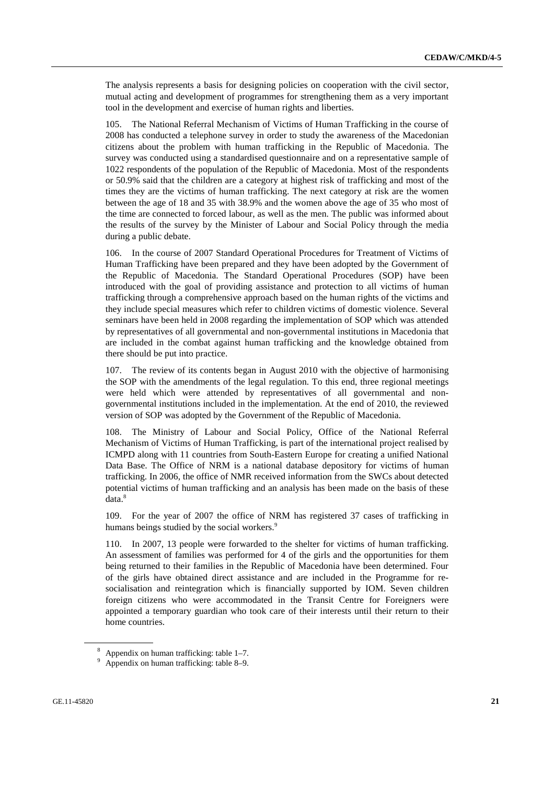The analysis represents a basis for designing policies on cooperation with the civil sector, mutual acting and development of programmes for strengthening them as a very important tool in the development and exercise of human rights and liberties.

105. The National Referral Mechanism of Victims of Human Trafficking in the course of 2008 has conducted a telephone survey in order to study the awareness of the Macedonian citizens about the problem with human trafficking in the Republic of Macedonia. The survey was conducted using a standardised questionnaire and on a representative sample of 1022 respondents of the population of the Republic of Macedonia. Most of the respondents or 50.9% said that the children are a category at highest risk of trafficking and most of the times they are the victims of human trafficking. The next category at risk are the women between the age of 18 and 35 with 38.9% and the women above the age of 35 who most of the time are connected to forced labour, as well as the men. The public was informed about the results of the survey by the Minister of Labour and Social Policy through the media during a public debate.

106. In the course of 2007 Standard Operational Procedures for Treatment of Victims of Human Trafficking have been prepared and they have been adopted by the Government of the Republic of Macedonia. The Standard Operational Procedures (SOP) have been introduced with the goal of providing assistance and protection to all victims of human trafficking through a comprehensive approach based on the human rights of the victims and they include special measures which refer to children victims of domestic violence. Several seminars have been held in 2008 regarding the implementation of SOP which was attended by representatives of all governmental and non-governmental institutions in Macedonia that are included in the combat against human trafficking and the knowledge obtained from there should be put into practice.

107. The review of its contents began in August 2010 with the objective of harmonising the SOP with the amendments of the legal regulation. To this end, three regional meetings were held which were attended by representatives of all governmental and nongovernmental institutions included in the implementation. At the end of 2010, the reviewed version of SOP was adopted by the Government of the Republic of Macedonia.

108. The Ministry of Labour and Social Policy, Office of the National Referral Mechanism of Victims of Human Trafficking, is part of the international project realised by ICMPD along with 11 countries from South-Eastern Europe for creating a unified National Data Base. The Office of NRM is a national database depository for victims of human trafficking. In 2006, the office of NMR received information from the SWCs about detected potential victims of human trafficking and an analysis has been made on the basis of these data.<sup>8</sup>

109. For the year of 2007 the office of NRM has registered 37 cases of trafficking in humans beings studied by the social workers.<sup>9</sup>

110. In 2007, 13 people were forwarded to the shelter for victims of human trafficking. An assessment of families was performed for 4 of the girls and the opportunities for them being returned to their families in the Republic of Macedonia have been determined. Four of the girls have obtained direct assistance and are included in the Programme for resocialisation and reintegration which is financially supported by IOM. Seven children foreign citizens who were accommodated in the Transit Centre for Foreigners were appointed a temporary guardian who took care of their interests until their return to their home countries.

<sup>8</sup> Appendix on human trafficking: table 1–7.

<sup>&</sup>lt;sup>9</sup> Appendix on human trafficking: table 8–9.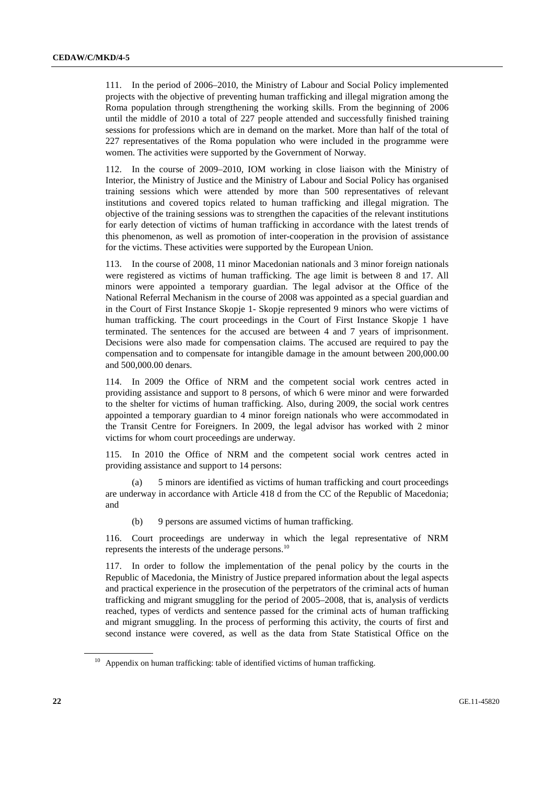111. In the period of 2006–2010, the Ministry of Labour and Social Policy implemented projects with the objective of preventing human trafficking and illegal migration among the Roma population through strengthening the working skills. From the beginning of 2006 until the middle of 2010 a total of 227 people attended and successfully finished training sessions for professions which are in demand on the market. More than half of the total of 227 representatives of the Roma population who were included in the programme were women. The activities were supported by the Government of Norway.

112. In the course of 2009–2010, IOM working in close liaison with the Ministry of Interior, the Ministry of Justice and the Ministry of Labour and Social Policy has organised training sessions which were attended by more than 500 representatives of relevant institutions and covered topics related to human trafficking and illegal migration. The objective of the training sessions was to strengthen the capacities of the relevant institutions for early detection of victims of human trafficking in accordance with the latest trends of this phenomenon, as well as promotion of inter-cooperation in the provision of assistance for the victims. These activities were supported by the European Union.

113. In the course of 2008, 11 minor Macedonian nationals and 3 minor foreign nationals were registered as victims of human trafficking. The age limit is between 8 and 17. All minors were appointed a temporary guardian. The legal advisor at the Office of the National Referral Mechanism in the course of 2008 was appointed as a special guardian and in the Court of First Instance Skopje 1- Skopje represented 9 minors who were victims of human trafficking. The court proceedings in the Court of First Instance Skopje 1 have terminated. The sentences for the accused are between 4 and 7 years of imprisonment. Decisions were also made for compensation claims. The accused are required to pay the compensation and to compensate for intangible damage in the amount between 200,000.00 and 500,000.00 denars.

114. In 2009 the Office of NRM and the competent social work centres acted in providing assistance and support to 8 persons, of which 6 were minor and were forwarded to the shelter for victims of human trafficking. Also, during 2009, the social work centres appointed a temporary guardian to 4 minor foreign nationals who were accommodated in the Transit Centre for Foreigners. In 2009, the legal advisor has worked with 2 minor victims for whom court proceedings are underway.

115. In 2010 the Office of NRM and the competent social work centres acted in providing assistance and support to 14 persons:

 (a) 5 minors are identified as victims of human trafficking and court proceedings are underway in accordance with Article 418 d from the CC of the Republic of Macedonia; and

(b) 9 persons are assumed victims of human trafficking.

116. Court proceedings are underway in which the legal representative of NRM represents the interests of the underage persons.<sup>10</sup>

117. In order to follow the implementation of the penal policy by the courts in the Republic of Macedonia, the Ministry of Justice prepared information about the legal aspects and practical experience in the prosecution of the perpetrators of the criminal acts of human trafficking and migrant smuggling for the period of 2005–2008, that is, analysis of verdicts reached, types of verdicts and sentence passed for the criminal acts of human trafficking and migrant smuggling. In the process of performing this activity, the courts of first and second instance were covered, as well as the data from State Statistical Office on the

 $10$  Appendix on human trafficking: table of identified victims of human trafficking.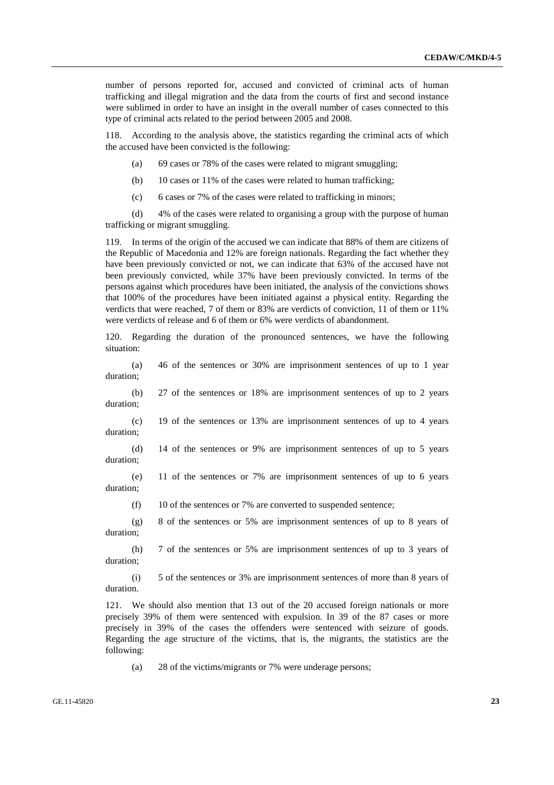number of persons reported for, accused and convicted of criminal acts of human trafficking and illegal migration and the data from the courts of first and second instance were sublimed in order to have an insight in the overall number of cases connected to this type of criminal acts related to the period between 2005 and 2008.

According to the analysis above, the statistics regarding the criminal acts of which the accused have been convicted is the following:

- (a) 69 cases or 78% of the cases were related to migrant smuggling;
- (b) 10 cases or 11% of the cases were related to human trafficking;
- (c) 6 cases or 7% of the cases were related to trafficking in minors;

 (d) 4% of the cases were related to organising a group with the purpose of human trafficking or migrant smuggling.

119. In terms of the origin of the accused we can indicate that 88% of them are citizens of the Republic of Macedonia and 12% are foreign nationals. Regarding the fact whether they have been previously convicted or not, we can indicate that 63% of the accused have not been previously convicted, while 37% have been previously convicted. In terms of the persons against which procedures have been initiated, the analysis of the convictions shows that 100% of the procedures have been initiated against a physical entity. Regarding the verdicts that were reached, 7 of them or 83% are verdicts of conviction, 11 of them or 11% were verdicts of release and 6 of them or 6% were verdicts of abandonment.

120. Regarding the duration of the pronounced sentences, we have the following situation:

 (a) 46 of the sentences or 30% are imprisonment sentences of up to 1 year duration;

 (b) 27 of the sentences or 18% are imprisonment sentences of up to 2 years duration;

 (c) 19 of the sentences or 13% are imprisonment sentences of up to 4 years duration;

 (d) 14 of the sentences or 9% are imprisonment sentences of up to 5 years duration;

 (e) 11 of the sentences or 7% are imprisonment sentences of up to 6 years duration;

(f) 10 of the sentences or 7% are converted to suspended sentence;

 (g) 8 of the sentences or 5% are imprisonment sentences of up to 8 years of duration;

 (h) 7 of the sentences or 5% are imprisonment sentences of up to 3 years of duration;

 (i) 5 of the sentences or 3% are imprisonment sentences of more than 8 years of duration.

121. We should also mention that 13 out of the 20 accused foreign nationals or more precisely 39% of them were sentenced with expulsion. In 39 of the 87 cases or more precisely in 39% of the cases the offenders were sentenced with seizure of goods. Regarding the age structure of the victims, that is, the migrants, the statistics are the following:

(a) 28 of the victims/migrants or 7% were underage persons;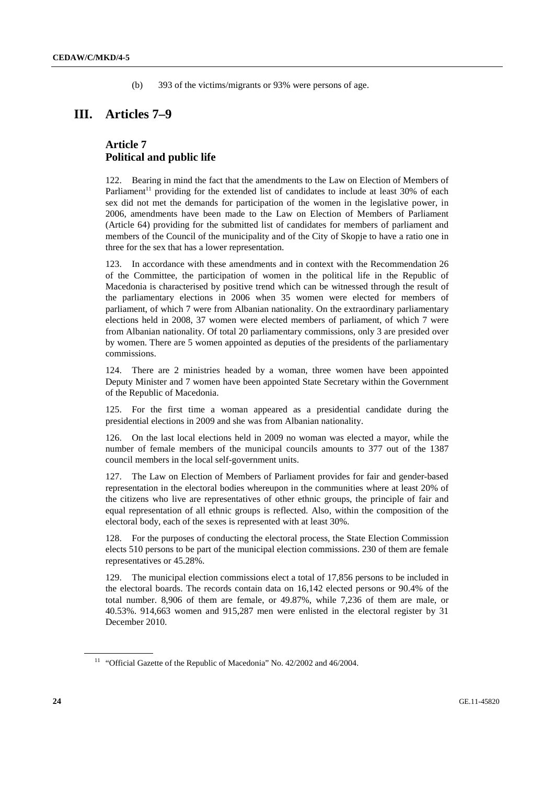(b) 393 of the victims/migrants or 93% were persons of age.

## **III. Articles 7–9**

#### **Article 7 Political and public life**

122. Bearing in mind the fact that the amendments to the Law on Election of Members of Parliament<sup>11</sup> providing for the extended list of candidates to include at least  $30\%$  of each sex did not met the demands for participation of the women in the legislative power, in 2006, amendments have been made to the Law on Election of Members of Parliament (Article 64) providing for the submitted list of candidates for members of parliament and members of the Council of the municipality and of the City of Skopje to have a ratio one in three for the sex that has a lower representation.

123. In accordance with these amendments and in context with the Recommendation 26 of the Committee, the participation of women in the political life in the Republic of Macedonia is characterised by positive trend which can be witnessed through the result of the parliamentary elections in 2006 when 35 women were elected for members of parliament, of which 7 were from Albanian nationality. On the extraordinary parliamentary elections held in 2008, 37 women were elected members of parliament, of which 7 were from Albanian nationality. Of total 20 parliamentary commissions, only 3 are presided over by women. There are 5 women appointed as deputies of the presidents of the parliamentary commissions.

124. There are 2 ministries headed by a woman, three women have been appointed Deputy Minister and 7 women have been appointed State Secretary within the Government of the Republic of Macedonia.

125. For the first time a woman appeared as a presidential candidate during the presidential elections in 2009 and she was from Albanian nationality.

126. On the last local elections held in 2009 no woman was elected a mayor, while the number of female members of the municipal councils amounts to 377 out of the 1387 council members in the local self-government units.

127. The Law on Election of Members of Parliament provides for fair and gender-based representation in the electoral bodies whereupon in the communities where at least 20% of the citizens who live are representatives of other ethnic groups, the principle of fair and equal representation of all ethnic groups is reflected. Also, within the composition of the electoral body, each of the sexes is represented with at least 30%.

128. For the purposes of conducting the electoral process, the State Election Commission elects 510 persons to be part of the municipal election commissions. 230 of them are female representatives or 45.28%.

129. The municipal election commissions elect a total of 17,856 persons to be included in the electoral boards. The records contain data on 16,142 elected persons or 90.4% of the total number. 8,906 of them are female, or 49.87%, while 7,236 of them are male, or 40.53%. 914,663 women and 915,287 men were enlisted in the electoral register by 31 December 2010.

<sup>&</sup>lt;sup>11</sup> "Official Gazette of the Republic of Macedonia" No. 42/2002 and 46/2004.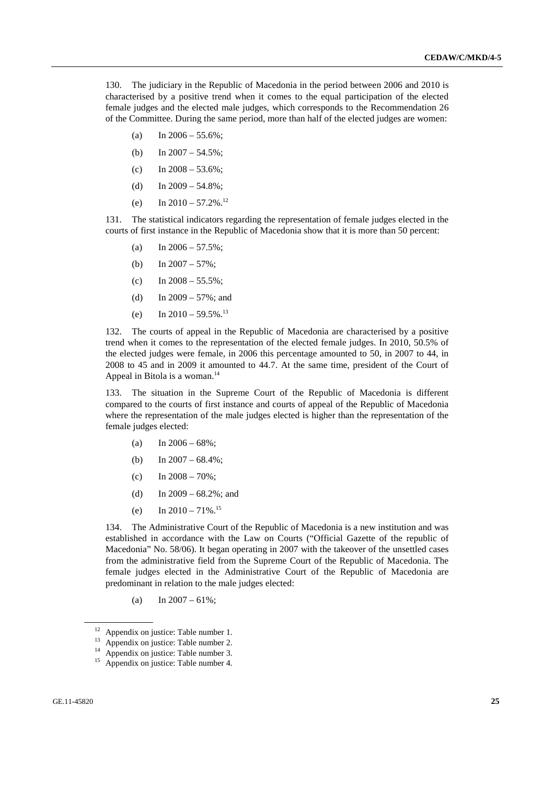130. The judiciary in the Republic of Macedonia in the period between 2006 and 2010 is characterised by a positive trend when it comes to the equal participation of the elected female judges and the elected male judges, which corresponds to the Recommendation 26 of the Committee. During the same period, more than half of the elected judges are women:

- (a) In  $2006 55.6\%$ ;
- (b) In  $2007 54.5\%$ ;
- (c) In  $2008 53.6\%$ ;
- (d) In  $2009 54.8\%$ ;
- (e) In  $2010 57.2\%$ <sup>12</sup>

131. The statistical indicators regarding the representation of female judges elected in the courts of first instance in the Republic of Macedonia show that it is more than 50 percent:

- (a) In  $2006 57.5\%$ ;
- (b) In  $2007 57\%$ ;
- (c) In  $2008 55.5\%$ ;
- (d) In  $2009 57\%$ ; and
- (e) In  $2010 59.5\%$ <sup>13</sup>

132. The courts of appeal in the Republic of Macedonia are characterised by a positive trend when it comes to the representation of the elected female judges. In 2010, 50.5% of the elected judges were female, in 2006 this percentage amounted to 50, in 2007 to 44, in 2008 to 45 and in 2009 it amounted to 44.7. At the same time, president of the Court of Appeal in Bitola is a woman.<sup>14</sup>

133. The situation in the Supreme Court of the Republic of Macedonia is different compared to the courts of first instance and courts of appeal of the Republic of Macedonia where the representation of the male judges elected is higher than the representation of the female judges elected:

- (a) In  $2006 68\%$ ;
- (b) In  $2007 68.4\%$ ;
- (c) In  $2008 70\%$ :
- (d) In 2009 68.2%; and
- (e) In  $2010 71\%$ .<sup>15</sup>

134. The Administrative Court of the Republic of Macedonia is a new institution and was established in accordance with the Law on Courts ("Official Gazette of the republic of Macedonia" No. 58/06). It began operating in 2007 with the takeover of the unsettled cases from the administrative field from the Supreme Court of the Republic of Macedonia. The female judges elected in the Administrative Court of the Republic of Macedonia are predominant in relation to the male judges elected:

(a) In  $2007 - 61\%$ ;

<sup>&</sup>lt;sup>12</sup> Appendix on justice: Table number 1.

<sup>&</sup>lt;sup>13</sup> Appendix on justice: Table number 2.

<sup>14</sup> Appendix on justice: Table number 3.

<sup>&</sup>lt;sup>15</sup> Appendix on justice: Table number 4.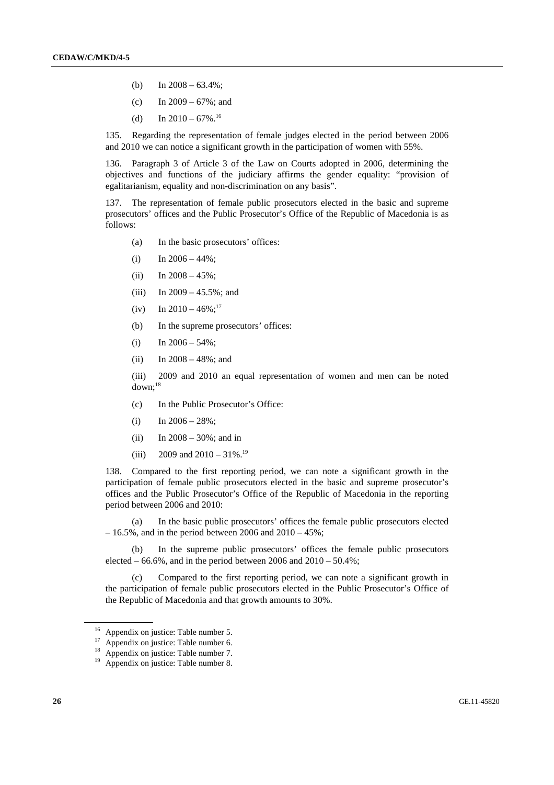- (b) In  $2008 63.4\%$ ;
- (c) In  $2009 67\%$ ; and
- (d) In  $2010 67\%$ .<sup>16</sup>

135. Regarding the representation of female judges elected in the period between 2006 and 2010 we can notice a significant growth in the participation of women with 55%.

136. Paragraph 3 of Article 3 of the Law on Courts adopted in 2006, determining the objectives and functions of the judiciary affirms the gender equality: "provision of egalitarianism, equality and non-discrimination on any basis".

137. The representation of female public prosecutors elected in the basic and supreme prosecutors' offices and the Public Prosecutor's Office of the Republic of Macedonia is as follows:

- (a) In the basic prosecutors' offices:
- (i) In  $2006 44\%$ ;
- (ii) In  $2008 45\%$ ;
- (iii) In  $2009 45.5\%$ ; and
- (iv) In  $2010 46\%$ ;<sup>17</sup>
- (b) In the supreme prosecutors' offices:
- (i) In  $2006 54\%$ ;
- (ii) In  $2008 48\%$ ; and

 (iii) 2009 and 2010 an equal representation of women and men can be noted  $down:$ <sup>18</sup>

- (c) In the Public Prosecutor's Office:
- (i) In  $2006 28\%$ ;
- (ii) In  $2008 30\%$ ; and in
- (iii) 2009 and  $2010 31\%$ .<sup>19</sup>

138. Compared to the first reporting period, we can note a significant growth in the participation of female public prosecutors elected in the basic and supreme prosecutor's offices and the Public Prosecutor's Office of the Republic of Macedonia in the reporting period between 2006 and 2010:

 (a) In the basic public prosecutors' offices the female public prosecutors elected  $-16.5\%$ , and in the period between 2006 and 2010 – 45%;

 (b) In the supreme public prosecutors' offices the female public prosecutors elected  $-66.6\%$ , and in the period between 2006 and  $2010 - 50.4\%$ ;

 (c) Compared to the first reporting period, we can note a significant growth in the participation of female public prosecutors elected in the Public Prosecutor's Office of the Republic of Macedonia and that growth amounts to 30%.

<sup>&</sup>lt;sup>16</sup> Appendix on justice: Table number 5.

<sup>&</sup>lt;sup>17</sup> Appendix on justice: Table number 6.

<sup>18</sup> Appendix on justice: Table number 7.

<sup>19</sup> Appendix on justice: Table number 8.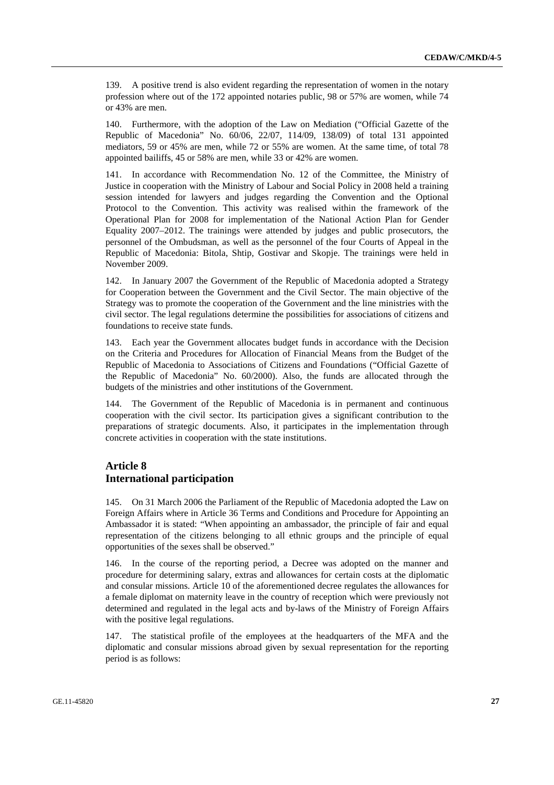139. A positive trend is also evident regarding the representation of women in the notary profession where out of the 172 appointed notaries public, 98 or 57% are women, while 74 or 43% are men.

140. Furthermore, with the adoption of the Law on Mediation ("Official Gazette of the Republic of Macedonia" No. 60/06, 22/07, 114/09, 138/09) of total 131 appointed mediators, 59 or 45% are men, while 72 or 55% are women. At the same time, of total 78 appointed bailiffs, 45 or 58% are men, while 33 or 42% are women.

141. In accordance with Recommendation No. 12 of the Committee, the Ministry of Justice in cooperation with the Ministry of Labour and Social Policy in 2008 held a training session intended for lawyers and judges regarding the Convention and the Optional Protocol to the Convention. This activity was realised within the framework of the Operational Plan for 2008 for implementation of the National Action Plan for Gender Equality 2007–2012. The trainings were attended by judges and public prosecutors, the personnel of the Ombudsman, as well as the personnel of the four Courts of Appeal in the Republic of Macedonia: Bitola, Shtip, Gostivar and Skopje. The trainings were held in November 2009.

142. In January 2007 the Government of the Republic of Macedonia adopted a Strategy for Cooperation between the Government and the Civil Sector. The main objective of the Strategy was to promote the cooperation of the Government and the line ministries with the civil sector. The legal regulations determine the possibilities for associations of citizens and foundations to receive state funds.

143. Each year the Government allocates budget funds in accordance with the Decision on the Criteria and Procedures for Allocation of Financial Means from the Budget of the Republic of Macedonia to Associations of Citizens and Foundations ("Official Gazette of the Republic of Macedonia" No. 60/2000). Also, the funds are allocated through the budgets of the ministries and other institutions of the Government.

144. The Government of the Republic of Macedonia is in permanent and continuous cooperation with the civil sector. Its participation gives a significant contribution to the preparations of strategic documents. Also, it participates in the implementation through concrete activities in cooperation with the state institutions.

#### **Article 8 International participation**

145. On 31 March 2006 the Parliament of the Republic of Macedonia adopted the Law on Foreign Affairs where in Article 36 Terms and Conditions and Procedure for Appointing an Ambassador it is stated: "When appointing an ambassador, the principle of fair and equal representation of the citizens belonging to all ethnic groups and the principle of equal opportunities of the sexes shall be observed."

146. In the course of the reporting period, a Decree was adopted on the manner and procedure for determining salary, extras and allowances for certain costs at the diplomatic and consular missions. Article 10 of the aforementioned decree regulates the allowances for a female diplomat on maternity leave in the country of reception which were previously not determined and regulated in the legal acts and by-laws of the Ministry of Foreign Affairs with the positive legal regulations.

147. The statistical profile of the employees at the headquarters of the MFA and the diplomatic and consular missions abroad given by sexual representation for the reporting period is as follows: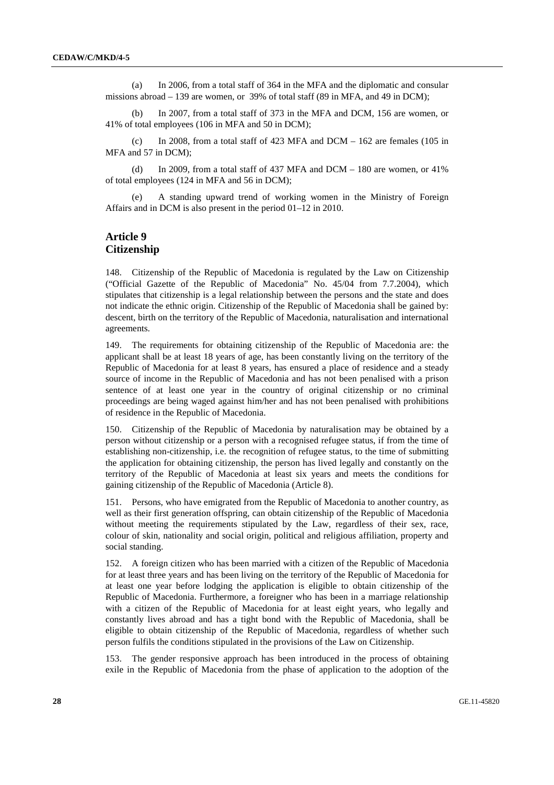(a) In 2006, from a total staff of 364 in the MFA and the diplomatic and consular missions abroad – 139 are women, or 39% of total staff (89 in MFA, and 49 in DCM);

 (b) In 2007, from a total staff of 373 in the MFA and DCM, 156 are women, or 41% of total employees (106 in MFA and 50 in DCM);

(c) In 2008, from a total staff of 423 MFA and  $DCM - 162$  are females (105 in MFA and 57 in DCM);

(d) In 2009, from a total staff of 437 MFA and  $DCM - 180$  are women, or 41% of total employees (124 in MFA and 56 in DCM);

 (e) A standing upward trend of working women in the Ministry of Foreign Affairs and in DCM is also present in the period 01–12 in 2010.

#### **Article 9 Citizenship**

148. Citizenship of the Republic of Macedonia is regulated by the Law on Citizenship ("Official Gazette of the Republic of Macedonia" No. 45/04 from 7.7.2004), which stipulates that citizenship is a legal relationship between the persons and the state and does not indicate the ethnic origin. Citizenship of the Republic of Macedonia shall be gained by: descent, birth on the territory of the Republic of Macedonia, naturalisation and international agreements.

149. The requirements for obtaining citizenship of the Republic of Macedonia are: the applicant shall be at least 18 years of age, has been constantly living on the territory of the Republic of Macedonia for at least 8 years, has ensured a place of residence and a steady source of income in the Republic of Macedonia and has not been penalised with a prison sentence of at least one year in the country of original citizenship or no criminal proceedings are being waged against him/her and has not been penalised with prohibitions of residence in the Republic of Macedonia.

150. Citizenship of the Republic of Macedonia by naturalisation may be obtained by a person without citizenship or a person with a recognised refugee status, if from the time of establishing non-citizenship, i.e. the recognition of refugee status, to the time of submitting the application for obtaining citizenship, the person has lived legally and constantly on the territory of the Republic of Macedonia at least six years and meets the conditions for gaining citizenship of the Republic of Macedonia (Article 8).

151. Persons, who have emigrated from the Republic of Macedonia to another country, as well as their first generation offspring, can obtain citizenship of the Republic of Macedonia without meeting the requirements stipulated by the Law, regardless of their sex, race, colour of skin, nationality and social origin, political and religious affiliation, property and social standing.

152. A foreign citizen who has been married with a citizen of the Republic of Macedonia for at least three years and has been living on the territory of the Republic of Macedonia for at least one year before lodging the application is eligible to obtain citizenship of the Republic of Macedonia. Furthermore, a foreigner who has been in a marriage relationship with a citizen of the Republic of Macedonia for at least eight years, who legally and constantly lives abroad and has a tight bond with the Republic of Macedonia, shall be eligible to obtain citizenship of the Republic of Macedonia, regardless of whether such person fulfils the conditions stipulated in the provisions of the Law on Citizenship.

153. The gender responsive approach has been introduced in the process of obtaining exile in the Republic of Macedonia from the phase of application to the adoption of the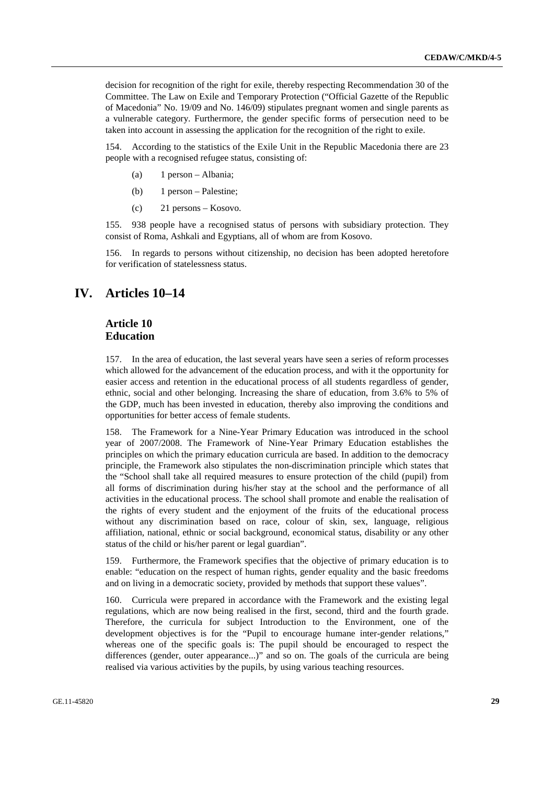decision for recognition of the right for exile, thereby respecting Recommendation 30 of the Committee. The Law on Exile and Temporary Protection ("Official Gazette of the Republic of Macedonia" No. 19/09 and No. 146/09) stipulates pregnant women and single parents as a vulnerable category. Furthermore, the gender specific forms of persecution need to be taken into account in assessing the application for the recognition of the right to exile.

154. According to the statistics of the Exile Unit in the Republic Macedonia there are 23 people with a recognised refugee status, consisting of:

- (a) 1 person Albania;
- (b) 1 person Palestine;
- (c) 21 persons Kosovo.

155. 938 people have a recognised status of persons with subsidiary protection. They consist of Roma, Ashkali and Egyptians, all of whom are from Kosovo.

156. In regards to persons without citizenship, no decision has been adopted heretofore for verification of statelessness status.

## **IV. Articles 10–14**

#### **Article 10 Education**

157. In the area of education, the last several years have seen a series of reform processes which allowed for the advancement of the education process, and with it the opportunity for easier access and retention in the educational process of all students regardless of gender, ethnic, social and other belonging. Increasing the share of education, from 3.6% to 5% of the GDP, much has been invested in education, thereby also improving the conditions and opportunities for better access of female students.

The Framework for a Nine-Year Primary Education was introduced in the school year of 2007/2008. The Framework of Nine-Year Primary Education establishes the principles on which the primary education curricula are based. In addition to the democracy principle, the Framework also stipulates the non-discrimination principle which states that the "School shall take all required measures to ensure protection of the child (pupil) from all forms of discrimination during his/her stay at the school and the performance of all activities in the educational process. The school shall promote and enable the realisation of the rights of every student and the enjoyment of the fruits of the educational process without any discrimination based on race, colour of skin, sex, language, religious affiliation, national, ethnic or social background, economical status, disability or any other status of the child or his/her parent or legal guardian".

159. Furthermore, the Framework specifies that the objective of primary education is to enable: "education on the respect of human rights, gender equality and the basic freedoms and on living in a democratic society, provided by methods that support these values".

160. Curricula were prepared in accordance with the Framework and the existing legal regulations, which are now being realised in the first, second, third and the fourth grade. Therefore, the curricula for subject Introduction to the Environment, one of the development objectives is for the "Pupil to encourage humane inter-gender relations," whereas one of the specific goals is: The pupil should be encouraged to respect the differences (gender, outer appearance...)" and so on. The goals of the curricula are being realised via various activities by the pupils, by using various teaching resources.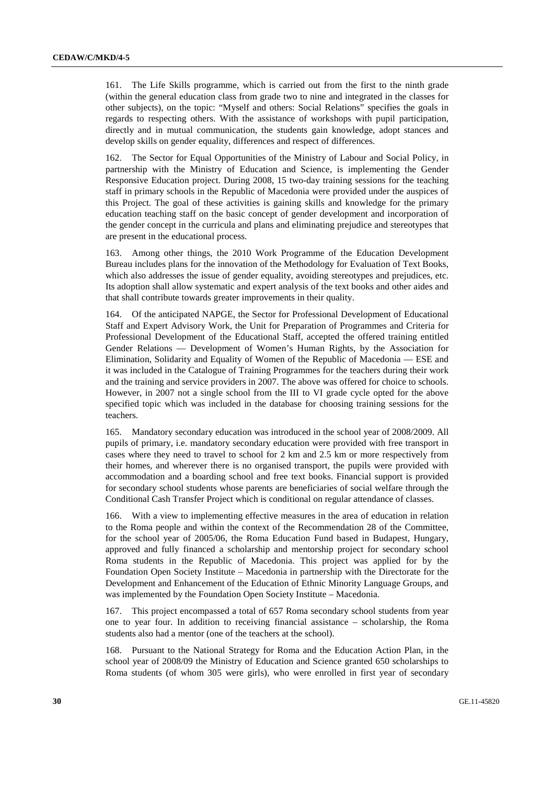161. The Life Skills programme, which is carried out from the first to the ninth grade (within the general education class from grade two to nine and integrated in the classes for other subjects), on the topic: "Myself and others: Social Relations" specifies the goals in regards to respecting others. With the assistance of workshops with pupil participation, directly and in mutual communication, the students gain knowledge, adopt stances and develop skills on gender equality, differences and respect of differences.

162. The Sector for Equal Opportunities of the Ministry of Labour and Social Policy, in partnership with the Ministry of Education and Science, is implementing the Gender Responsive Education project. During 2008, 15 two-day training sessions for the teaching staff in primary schools in the Republic of Macedonia were provided under the auspices of this Project. The goal of these activities is gaining skills and knowledge for the primary education teaching staff on the basic concept of gender development and incorporation of the gender concept in the curricula and plans and eliminating prejudice and stereotypes that are present in the educational process.

163. Among other things, the 2010 Work Programme of the Education Development Bureau includes plans for the innovation of the Methodology for Evaluation of Text Books, which also addresses the issue of gender equality, avoiding stereotypes and prejudices, etc. Its adoption shall allow systematic and expert analysis of the text books and other aides and that shall contribute towards greater improvements in their quality.

164. Of the anticipated NAPGE, the Sector for Professional Development of Educational Staff and Expert Advisory Work, the Unit for Preparation of Programmes and Criteria for Professional Development of the Educational Staff, accepted the offered training entitled Gender Relations — Development of Women's Human Rights, by the Association for Elimination, Solidarity and Equality of Women of the Republic of Macedonia — ESE and it was included in the Catalogue of Training Programmes for the teachers during their work and the training and service providers in 2007. The above was offered for choice to schools. However, in 2007 not a single school from the III to VI grade cycle opted for the above specified topic which was included in the database for choosing training sessions for the teachers.

165. Mandatory secondary education was introduced in the school year of 2008/2009. All pupils of primary, i.e. mandatory secondary education were provided with free transport in cases where they need to travel to school for 2 km and 2.5 km or more respectively from their homes, and wherever there is no organised transport, the pupils were provided with accommodation and a boarding school and free text books. Financial support is provided for secondary school students whose parents are beneficiaries of social welfare through the Conditional Cash Transfer Project which is conditional on regular attendance of classes.

166. With a view to implementing effective measures in the area of education in relation to the Roma people and within the context of the Recommendation 28 of the Committee, for the school year of 2005/06, the Roma Education Fund based in Budapest, Hungary, approved and fully financed a scholarship and mentorship project for secondary school Roma students in the Republic of Macedonia. This project was applied for by the Foundation Open Society Institute – Macedonia in partnership with the Directorate for the Development and Enhancement of the Education of Ethnic Minority Language Groups, and was implemented by the Foundation Open Society Institute – Macedonia.

167. This project encompassed a total of 657 Roma secondary school students from year one to year four. In addition to receiving financial assistance – scholarship, the Roma students also had a mentor (one of the teachers at the school).

168. Pursuant to the National Strategy for Roma and the Education Action Plan, in the school year of 2008/09 the Ministry of Education and Science granted 650 scholarships to Roma students (of whom 305 were girls), who were enrolled in first year of secondary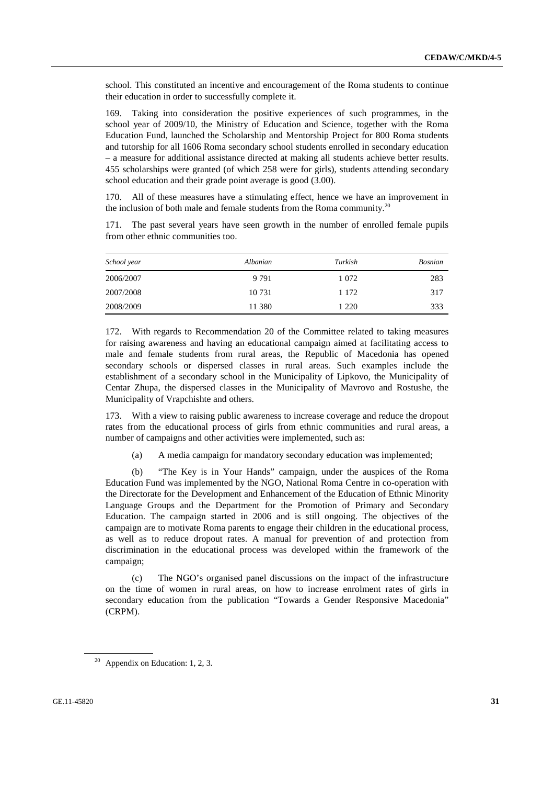school. This constituted an incentive and encouragement of the Roma students to continue their education in order to successfully complete it.

169. Taking into consideration the positive experiences of such programmes, in the school year of 2009/10, the Ministry of Education and Science, together with the Roma Education Fund, launched the Scholarship and Mentorship Project for 800 Roma students and tutorship for all 1606 Roma secondary school students enrolled in secondary education – a measure for additional assistance directed at making all students achieve better results. 455 scholarships were granted (of which 258 were for girls), students attending secondary school education and their grade point average is good (3.00).

170. All of these measures have a stimulating effect, hence we have an improvement in the inclusion of both male and female students from the Roma community.<sup>20</sup>

| School year | Albanian | Turkish | <b>Bosnian</b> |
|-------------|----------|---------|----------------|
| 2006/2007   | 9 7 9 1  | 1 0 7 2 | 283            |
| 2007/2008   | 10 731   | 1 1 7 2 | 317            |

2008/2009 11 380 1 220 333

171. The past several years have seen growth in the number of enrolled female pupils from other ethnic communities too.

172. With regards to Recommendation 20 of the Committee related to taking measures for raising awareness and having an educational campaign aimed at facilitating access to male and female students from rural areas, the Republic of Macedonia has opened secondary schools or dispersed classes in rural areas. Such examples include the establishment of a secondary school in the Municipality of Lipkovo, the Municipality of Centar Zhupa, the dispersed classes in the Municipality of Mavrovo and Rostushe, the Municipality of Vrapchishte and others.

173. With a view to raising public awareness to increase coverage and reduce the dropout rates from the educational process of girls from ethnic communities and rural areas, a number of campaigns and other activities were implemented, such as:

(a) A media campaign for mandatory secondary education was implemented;

 (b) "The Key is in Your Hands" campaign, under the auspices of the Roma Education Fund was implemented by the NGO, National Roma Centre in co-operation with the Directorate for the Development and Enhancement of the Education of Ethnic Minority Language Groups and the Department for the Promotion of Primary and Secondary Education. The campaign started in 2006 and is still ongoing. The objectives of the campaign are to motivate Roma parents to engage their children in the educational process, as well as to reduce dropout rates. A manual for prevention of and protection from discrimination in the educational process was developed within the framework of the campaign;

 (c) The NGO's organised panel discussions on the impact of the infrastructure on the time of women in rural areas, on how to increase enrolment rates of girls in secondary education from the publication "Towards a Gender Responsive Macedonia" (CRPM).

<sup>&</sup>lt;sup>20</sup> Appendix on Education: 1, 2, 3.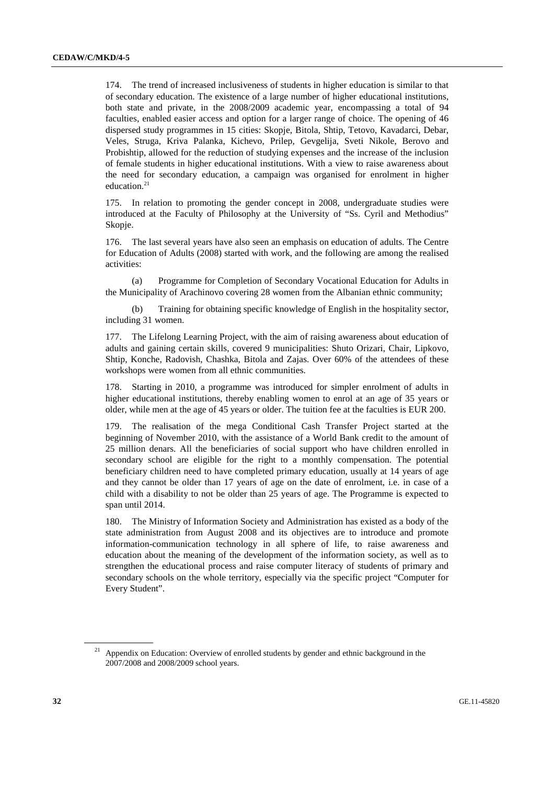174. The trend of increased inclusiveness of students in higher education is similar to that of secondary education. The existence of a large number of higher educational institutions, both state and private, in the 2008/2009 academic year, encompassing a total of 94 faculties, enabled easier access and option for a larger range of choice. The opening of 46 dispersed study programmes in 15 cities: Skopje, Bitola, Shtip, Tetovo, Kavadarci, Debar, Veles, Struga, Kriva Palanka, Kichevo, Prilep, Gevgelija, Sveti Nikole, Berovo and Probishtip, allowed for the reduction of studying expenses and the increase of the inclusion of female students in higher educational institutions. With a view to raise awareness about the need for secondary education, a campaign was organised for enrolment in higher education.<sup>21</sup>

175. In relation to promoting the gender concept in 2008, undergraduate studies were introduced at the Faculty of Philosophy at the University of "Ss. Cyril and Methodius" Skopje.

176. The last several years have also seen an emphasis on education of adults. The Centre for Education of Adults (2008) started with work, and the following are among the realised activities:

 (a) Programme for Completion of Secondary Vocational Education for Adults in the Municipality of Arachinovo covering 28 women from the Albanian ethnic community;

 (b) Training for obtaining specific knowledge of English in the hospitality sector, including 31 women.

177. The Lifelong Learning Project, with the aim of raising awareness about education of adults and gaining certain skills, covered 9 municipalities: Shuto Orizari, Chair, Lipkovo, Shtip, Konche, Radovish, Chashka, Bitola and Zajas. Over 60% of the attendees of these workshops were women from all ethnic communities.

Starting in 2010, a programme was introduced for simpler enrolment of adults in higher educational institutions, thereby enabling women to enrol at an age of 35 years or older, while men at the age of 45 years or older. The tuition fee at the faculties is EUR 200.

179. The realisation of the mega Conditional Cash Transfer Project started at the beginning of November 2010, with the assistance of a World Bank credit to the amount of 25 million denars. All the beneficiaries of social support who have children enrolled in secondary school are eligible for the right to a monthly compensation. The potential beneficiary children need to have completed primary education, usually at 14 years of age and they cannot be older than 17 years of age on the date of enrolment, i.e. in case of a child with a disability to not be older than 25 years of age. The Programme is expected to span until 2014.

180. The Ministry of Information Society and Administration has existed as a body of the state administration from August 2008 and its objectives are to introduce and promote information-communication technology in all sphere of life, to raise awareness and education about the meaning of the development of the information society, as well as to strengthen the educational process and raise computer literacy of students of primary and secondary schools on the whole territory, especially via the specific project "Computer for Every Student".

Appendix on Education: Overview of enrolled students by gender and ethnic background in the 2007/2008 and 2008/2009 school years.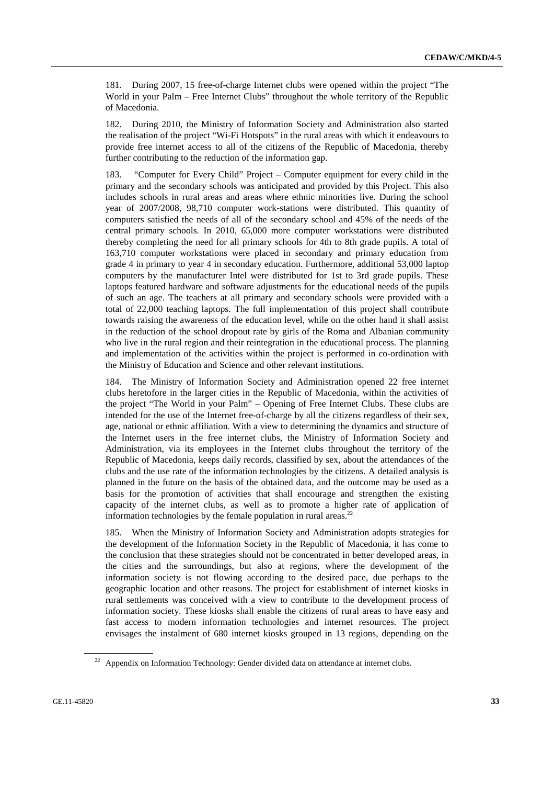181. During 2007, 15 free-of-charge Internet clubs were opened within the project "The World in your Palm – Free Internet Clubs" throughout the whole territory of the Republic of Macedonia.

182. During 2010, the Ministry of Information Society and Administration also started the realisation of the project "Wi-Fi Hotspots" in the rural areas with which it endeavours to provide free internet access to all of the citizens of the Republic of Macedonia, thereby further contributing to the reduction of the information gap.

183. "Computer for Every Child" Project – Computer equipment for every child in the primary and the secondary schools was anticipated and provided by this Project. This also includes schools in rural areas and areas where ethnic minorities live. During the school year of 2007/2008, 98,710 computer work-stations were distributed. This quantity of computers satisfied the needs of all of the secondary school and 45% of the needs of the central primary schools. In 2010, 65,000 more computer workstations were distributed thereby completing the need for all primary schools for 4th to 8th grade pupils. A total of 163,710 computer workstations were placed in secondary and primary education from grade 4 in primary to year 4 in secondary education. Furthermore, additional 53,000 laptop computers by the manufacturer Intel were distributed for 1st to 3rd grade pupils. These laptops featured hardware and software adjustments for the educational needs of the pupils of such an age. The teachers at all primary and secondary schools were provided with a total of 22,000 teaching laptops. The full implementation of this project shall contribute towards raising the awareness of the education level, while on the other hand it shall assist in the reduction of the school dropout rate by girls of the Roma and Albanian community who live in the rural region and their reintegration in the educational process. The planning and implementation of the activities within the project is performed in co-ordination with the Ministry of Education and Science and other relevant institutions.

184. The Ministry of Information Society and Administration opened 22 free internet clubs heretofore in the larger cities in the Republic of Macedonia, within the activities of the project "The World in your Palm" – Opening of Free Internet Clubs. These clubs are intended for the use of the Internet free-of-charge by all the citizens regardless of their sex, age, national or ethnic affiliation. With a view to determining the dynamics and structure of the Internet users in the free internet clubs, the Ministry of Information Society and Administration, via its employees in the Internet clubs throughout the territory of the Republic of Macedonia, keeps daily records, classified by sex, about the attendances of the clubs and the use rate of the information technologies by the citizens. A detailed analysis is planned in the future on the basis of the obtained data, and the outcome may be used as a basis for the promotion of activities that shall encourage and strengthen the existing capacity of the internet clubs, as well as to promote a higher rate of application of information technologies by the female population in rural areas.<sup>22</sup>

When the Ministry of Information Society and Administration adopts strategies for the development of the Information Society in the Republic of Macedonia, it has come to the conclusion that these strategies should not be concentrated in better developed areas, in the cities and the surroundings, but also at regions, where the development of the information society is not flowing according to the desired pace, due perhaps to the geographic location and other reasons. The project for establishment of internet kiosks in rural settlements was conceived with a view to contribute to the development process of information society. These kiosks shall enable the citizens of rural areas to have easy and fast access to modern information technologies and internet resources. The project envisages the instalment of 680 internet kiosks grouped in 13 regions, depending on the

<sup>&</sup>lt;sup>22</sup> Appendix on Information Technology: Gender divided data on attendance at internet clubs.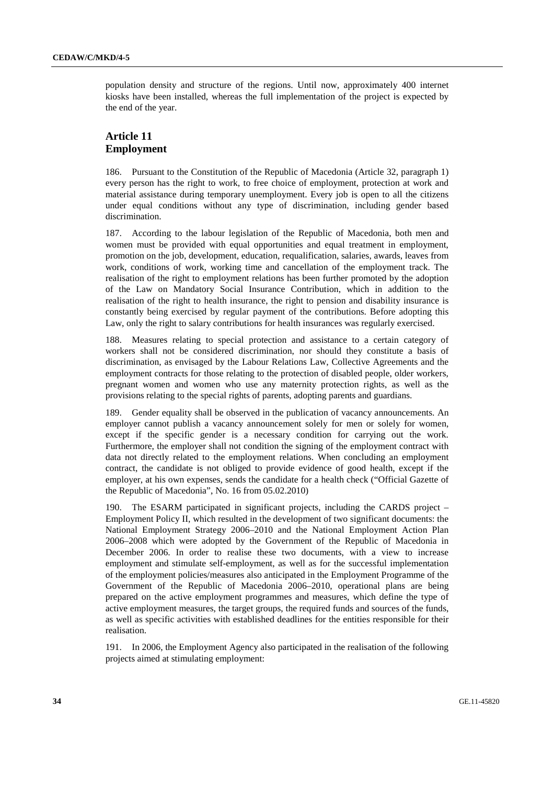population density and structure of the regions. Until now, approximately 400 internet kiosks have been installed, whereas the full implementation of the project is expected by the end of the year.

#### **Article 11 Employment**

186. Pursuant to the Constitution of the Republic of Macedonia (Article 32, paragraph 1) every person has the right to work, to free choice of employment, protection at work and material assistance during temporary unemployment. Every job is open to all the citizens under equal conditions without any type of discrimination, including gender based discrimination.

187. According to the labour legislation of the Republic of Macedonia, both men and women must be provided with equal opportunities and equal treatment in employment, promotion on the job, development, education, requalification, salaries, awards, leaves from work, conditions of work, working time and cancellation of the employment track. The realisation of the right to employment relations has been further promoted by the adoption of the Law on Mandatory Social Insurance Contribution, which in addition to the realisation of the right to health insurance, the right to pension and disability insurance is constantly being exercised by regular payment of the contributions. Before adopting this Law, only the right to salary contributions for health insurances was regularly exercised.

188. Measures relating to special protection and assistance to a certain category of workers shall not be considered discrimination, nor should they constitute a basis of discrimination, as envisaged by the Labour Relations Law, Collective Agreements and the employment contracts for those relating to the protection of disabled people, older workers, pregnant women and women who use any maternity protection rights, as well as the provisions relating to the special rights of parents, adopting parents and guardians.

189. Gender equality shall be observed in the publication of vacancy announcements. An employer cannot publish a vacancy announcement solely for men or solely for women, except if the specific gender is a necessary condition for carrying out the work. Furthermore, the employer shall not condition the signing of the employment contract with data not directly related to the employment relations. When concluding an employment contract, the candidate is not obliged to provide evidence of good health, except if the employer, at his own expenses, sends the candidate for a health check ("Official Gazette of the Republic of Macedonia", No. 16 from 05.02.2010)

190. The ESARM participated in significant projects, including the CARDS project – Employment Policy II, which resulted in the development of two significant documents: the National Employment Strategy 2006–2010 and the National Employment Action Plan 2006–2008 which were adopted by the Government of the Republic of Macedonia in December 2006. In order to realise these two documents, with a view to increase employment and stimulate self-employment, as well as for the successful implementation of the employment policies/measures also anticipated in the Employment Programme of the Government of the Republic of Macedonia 2006–2010, operational plans are being prepared on the active employment programmes and measures, which define the type of active employment measures, the target groups, the required funds and sources of the funds, as well as specific activities with established deadlines for the entities responsible for their realisation.

191. In 2006, the Employment Agency also participated in the realisation of the following projects aimed at stimulating employment: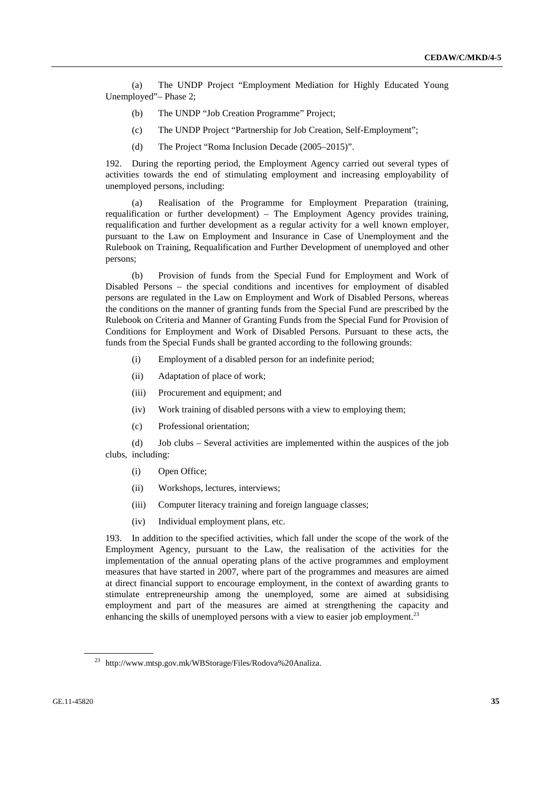(a) The UNDP Project "Employment Mediation for Highly Educated Young Unemployed"– Phase 2;

- (b) The UNDP "Job Creation Programme" Project;
- (c) The UNDP Project "Partnership for Job Creation, Self-Employment";
- (d) The Project "Roma Inclusion Decade (2005–2015)".

192. During the reporting period, the Employment Agency carried out several types of activities towards the end of stimulating employment and increasing employability of unemployed persons, including:

 (a) Realisation of the Programme for Employment Preparation (training, requalification or further development) – The Employment Agency provides training, requalification and further development as a regular activity for a well known employer, pursuant to the Law on Employment and Insurance in Case of Unemployment and the Rulebook on Training, Requalification and Further Development of unemployed and other persons;

 (b) Provision of funds from the Special Fund for Employment and Work of Disabled Persons – the special conditions and incentives for employment of disabled persons are regulated in the Law on Employment and Work of Disabled Persons, whereas the conditions on the manner of granting funds from the Special Fund are prescribed by the Rulebook on Criteria and Manner of Granting Funds from the Special Fund for Provision of Conditions for Employment and Work of Disabled Persons. Pursuant to these acts, the funds from the Special Funds shall be granted according to the following grounds:

- (i) Employment of a disabled person for an indefinite period;
- (ii) Adaptation of place of work;
- (iii) Procurement and equipment; and
- (iv) Work training of disabled persons with a view to employing them;
- (c) Professional orientation;

 (d) Job clubs – Several activities are implemented within the auspices of the job clubs, including:

- (i) Open Office;
- (ii) Workshops, lectures, interviews;
- (iii) Computer literacy training and foreign language classes;
- (iv) Individual employment plans, etc.

193. In addition to the specified activities, which fall under the scope of the work of the Employment Agency, pursuant to the Law, the realisation of the activities for the implementation of the annual operating plans of the active programmes and employment measures that have started in 2007, where part of the programmes and measures are aimed at direct financial support to encourage employment, in the context of awarding grants to stimulate entrepreneurship among the unemployed, some are aimed at subsidising employment and part of the measures are aimed at strengthening the capacity and enhancing the skills of unemployed persons with a view to easier job employment.<sup>23</sup>

<sup>23</sup> http://www.mtsp.gov.mk/WBStorage/Files/Rodova%20Analiza.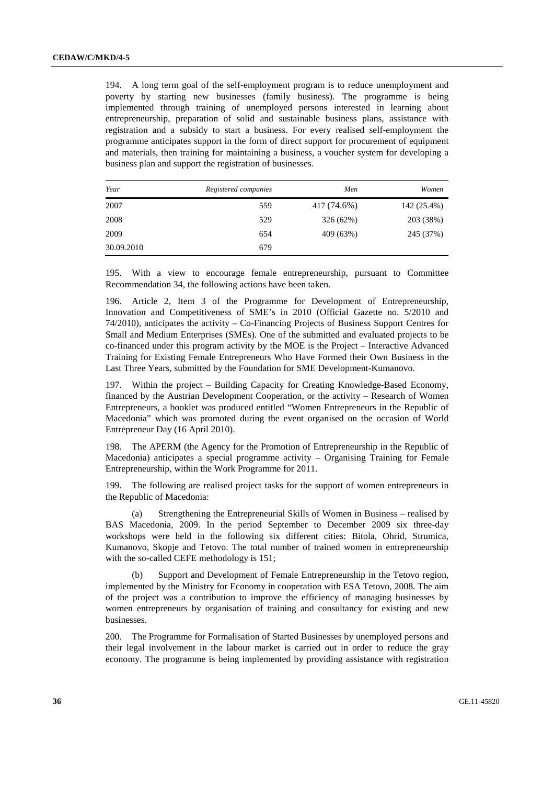194. A long term goal of the self-employment program is to reduce unemployment and poverty by starting new businesses (family business). The programme is being implemented through training of unemployed persons interested in learning about entrepreneurship, preparation of solid and sustainable business plans, assistance with registration and a subsidy to start a business. For every realised self-employment the programme anticipates support in the form of direct support for procurement of equipment and materials, then training for maintaining a business, a voucher system for developing a business plan and support the registration of businesses.

| Year       | Registered companies | Men         | Women       |
|------------|----------------------|-------------|-------------|
| 2007       | 559                  | 417 (74.6%) | 142 (25.4%) |
| 2008       | 529                  | 326 (62%)   | 203 (38%)   |
| 2009       | 654                  | 409 (63%)   | 245 (37%)   |
| 30.09.2010 | 679                  |             |             |

195. With a view to encourage female entrepreneurship, pursuant to Committee Recommendation 34, the following actions have been taken.

196. Article 2, Item 3 of the Programme for Development of Entrepreneurship, Innovation and Competitiveness of SME's in 2010 (Official Gazette no. 5/2010 and 74/2010), anticipates the activity – Co-Financing Projects of Business Support Centres for Small and Medium Enterprises (SMEs). One of the submitted and evaluated projects to be co-financed under this program activity by the MOE is the Project – Interactive Advanced Training for Existing Female Entrepreneurs Who Have Formed their Own Business in the Last Three Years, submitted by the Foundation for SME Development-Kumanovo.

197. Within the project – Building Capacity for Creating Knowledge-Based Economy, financed by the Austrian Development Cooperation, or the activity – Research of Women Entrepreneurs, a booklet was produced entitled "Women Entrepreneurs in the Republic of Macedonia" which was promoted during the event organised on the occasion of World Entrepreneur Day (16 April 2010).

198. The APERM (the Agency for the Promotion of Entrepreneurship in the Republic of Macedonia) anticipates a special programme activity – Organising Training for Female Entrepreneurship, within the Work Programme for 2011.

199. The following are realised project tasks for the support of women entrepreneurs in the Republic of Macedonia:

 (a) Strengthening the Entrepreneurial Skills of Women in Business – realised by BAS Macedonia, 2009. In the period September to December 2009 six three-day workshops were held in the following six different cities: Bitola, Ohrid, Strumica, Kumanovo, Skopje and Tetovo. The total number of trained women in entrepreneurship with the so-called CEFE methodology is 151;

 (b) Support and Development of Female Entrepreneurship in the Tetovo region, implemented by the Ministry for Economy in cooperation with ESA Tetovo, 2008. The aim of the project was a contribution to improve the efficiency of managing businesses by women entrepreneurs by organisation of training and consultancy for existing and new businesses.

200. The Programme for Formalisation of Started Businesses by unemployed persons and their legal involvement in the labour market is carried out in order to reduce the gray economy. The programme is being implemented by providing assistance with registration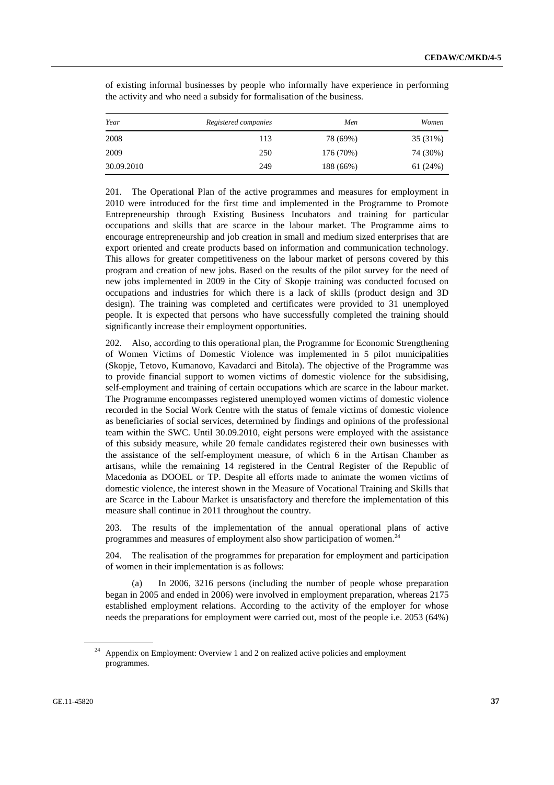| Year       | Registered companies | Men       | Women    |
|------------|----------------------|-----------|----------|
| 2008       | 113                  | 78 (69%)  | 35 (31%) |
| 2009       | 250                  | 176 (70%) | 74 (30%) |
| 30.09.2010 | 249                  | 188 (66%) | 61 (24%) |

of existing informal businesses by people who informally have experience in performing the activity and who need a subsidy for formalisation of the business.

201. The Operational Plan of the active programmes and measures for employment in 2010 were introduced for the first time and implemented in the Programme to Promote Entrepreneurship through Existing Business Incubators and training for particular occupations and skills that are scarce in the labour market. The Programme aims to encourage entrepreneurship and job creation in small and medium sized enterprises that are export oriented and create products based on information and communication technology. This allows for greater competitiveness on the labour market of persons covered by this program and creation of new jobs. Based on the results of the pilot survey for the need of new jobs implemented in 2009 in the City of Skopje training was conducted focused on occupations and industries for which there is a lack of skills (product design and 3D design). The training was completed and certificates were provided to 31 unemployed people. It is expected that persons who have successfully completed the training should significantly increase their employment opportunities.

202. Also, according to this operational plan, the Programme for Economic Strengthening of Women Victims of Domestic Violence was implemented in 5 pilot municipalities (Skopje, Tetovo, Kumanovo, Kavadarci and Bitola). The objective of the Programme was to provide financial support to women victims of domestic violence for the subsidising, self-employment and training of certain occupations which are scarce in the labour market. The Programme encompasses registered unemployed women victims of domestic violence recorded in the Social Work Centre with the status of female victims of domestic violence as beneficiaries of social services, determined by findings and opinions of the professional team within the SWC. Until 30.09.2010, eight persons were employed with the assistance of this subsidy measure, while 20 female candidates registered their own businesses with the assistance of the self-employment measure, of which 6 in the Artisan Chamber as artisans, while the remaining 14 registered in the Central Register of the Republic of Macedonia as DOOEL or TP. Despite all efforts made to animate the women victims of domestic violence, the interest shown in the Measure of Vocational Training and Skills that are Scarce in the Labour Market is unsatisfactory and therefore the implementation of this measure shall continue in 2011 throughout the country.

203. The results of the implementation of the annual operational plans of active programmes and measures of employment also show participation of women.<sup>24</sup>

204. The realisation of the programmes for preparation for employment and participation of women in their implementation is as follows:

In 2006, 3216 persons (including the number of people whose preparation began in 2005 and ended in 2006) were involved in employment preparation, whereas 2175 established employment relations. According to the activity of the employer for whose needs the preparations for employment were carried out, most of the people i.e. 2053 (64%)

<sup>&</sup>lt;sup>24</sup> Appendix on Employment: Overview 1 and 2 on realized active policies and employment programmes.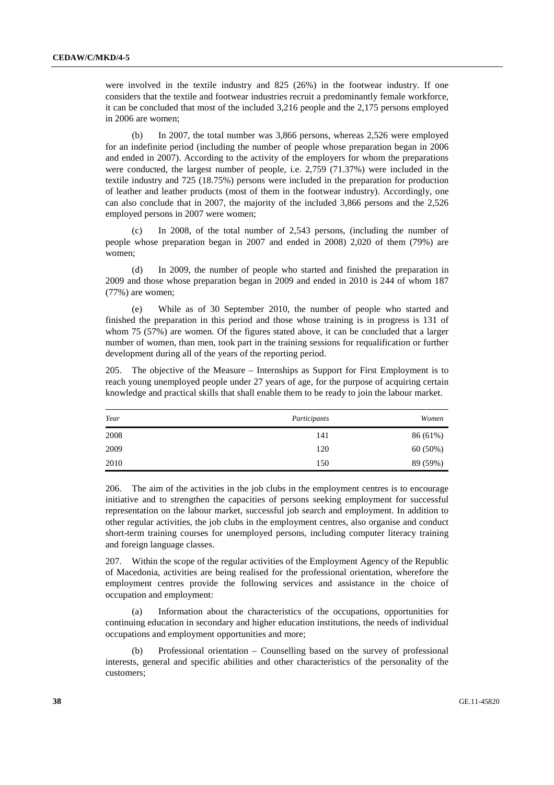were involved in the textile industry and 825 (26%) in the footwear industry. If one considers that the textile and footwear industries recruit a predominantly female workforce, it can be concluded that most of the included 3,216 people and the 2,175 persons employed in 2006 are women;

 (b) In 2007, the total number was 3,866 persons, whereas 2,526 were employed for an indefinite period (including the number of people whose preparation began in 2006 and ended in 2007). According to the activity of the employers for whom the preparations were conducted, the largest number of people, i.e. 2,759 (71.37%) were included in the textile industry and 725 (18.75%) persons were included in the preparation for production of leather and leather products (most of them in the footwear industry). Accordingly, one can also conclude that in 2007, the majority of the included 3,866 persons and the 2,526 employed persons in 2007 were women;

 (c) In 2008, of the total number of 2,543 persons, (including the number of people whose preparation began in 2007 and ended in 2008) 2,020 of them (79%) are women;

In 2009, the number of people who started and finished the preparation in 2009 and those whose preparation began in 2009 and ended in 2010 is 244 of whom 187 (77%) are women;

 (e) While as of 30 September 2010, the number of people who started and finished the preparation in this period and those whose training is in progress is 131 of whom 75 (57%) are women. Of the figures stated above, it can be concluded that a larger number of women, than men, took part in the training sessions for requalification or further development during all of the years of the reporting period.

205. The objective of the Measure – Internships as Support for First Employment is to reach young unemployed people under 27 years of age, for the purpose of acquiring certain knowledge and practical skills that shall enable them to be ready to join the labour market.

| Year | Participants | Women    |
|------|--------------|----------|
| 2008 | 141          | 86 (61%) |
| 2009 | 120          | 60 (50%) |
| 2010 | 150          | 89 (59%) |

206. The aim of the activities in the job clubs in the employment centres is to encourage initiative and to strengthen the capacities of persons seeking employment for successful representation on the labour market, successful job search and employment. In addition to other regular activities, the job clubs in the employment centres, also organise and conduct short-term training courses for unemployed persons, including computer literacy training and foreign language classes.

207. Within the scope of the regular activities of the Employment Agency of the Republic of Macedonia, activities are being realised for the professional orientation, wherefore the employment centres provide the following services and assistance in the choice of occupation and employment:

 (a) Information about the characteristics of the occupations, opportunities for continuing education in secondary and higher education institutions, the needs of individual occupations and employment opportunities and more;

 (b) Professional orientation – Counselling based on the survey of professional interests, general and specific abilities and other characteristics of the personality of the customers;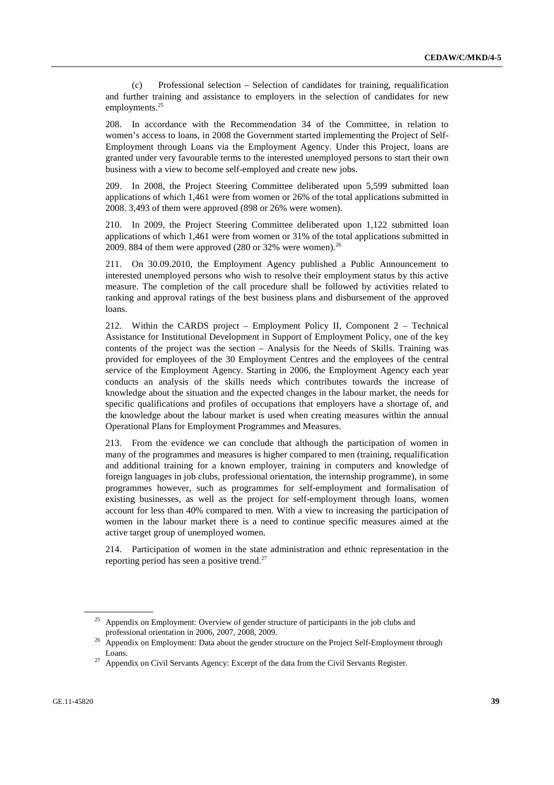(c) Professional selection – Selection of candidates for training, requalification and further training and assistance to employers in the selection of candidates for new employments.<sup>25</sup>

208. In accordance with the Recommendation 34 of the Committee, in relation to women's access to loans, in 2008 the Government started implementing the Project of Self-Employment through Loans via the Employment Agency. Under this Project, loans are granted under very favourable terms to the interested unemployed persons to start their own business with a view to become self-employed and create new jobs.

209. In 2008, the Project Steering Committee deliberated upon 5,599 submitted loan applications of which 1,461 were from women or 26% of the total applications submitted in 2008. 3,493 of them were approved (898 or 26% were women).

210. In 2009, the Project Steering Committee deliberated upon 1,122 submitted loan applications of which 1,461 were from women or 31% of the total applications submitted in 2009. 884 of them were approved  $(280 \text{ or } 32\% \text{ were women})^{26}$ 

211. On 30.09.2010, the Employment Agency published a Public Announcement to interested unemployed persons who wish to resolve their employment status by this active measure. The completion of the call procedure shall be followed by activities related to ranking and approval ratings of the best business plans and disbursement of the approved loans.

212. Within the CARDS project – Employment Policy II, Component 2 – Technical Assistance for Institutional Development in Support of Employment Policy, one of the key contents of the project was the section – Analysis for the Needs of Skills. Training was provided for employees of the 30 Employment Centres and the employees of the central service of the Employment Agency. Starting in 2006, the Employment Agency each year conducts an analysis of the skills needs which contributes towards the increase of knowledge about the situation and the expected changes in the labour market, the needs for specific qualifications and profiles of occupations that employers have a shortage of, and the knowledge about the labour market is used when creating measures within the annual Operational Plans for Employment Programmes and Measures.

213. From the evidence we can conclude that although the participation of women in many of the programmes and measures is higher compared to men (training, requalification and additional training for a known employer, training in computers and knowledge of foreign languages in job clubs, professional orientation, the internship programme), in some programmes however, such as programmes for self-employment and formalisation of existing businesses, as well as the project for self-employment through loans, women account for less than 40% compared to men. With a view to increasing the participation of women in the labour market there is a need to continue specific measures aimed at the active target group of unemployed women.

214. Participation of women in the state administration and ethnic representation in the reporting period has seen a positive trend.<sup>27</sup>

<sup>&</sup>lt;sup>25</sup> Appendix on Employment: Overview of gender structure of participants in the job clubs and

professional orientation in 2006, 2007, 2008, 2009.<br><sup>26</sup> Appendix on Employment: Data about the gender structure on the Project Self-Employment through

Loans. 27 Appendix on Civil Servants Agency: Excerpt of the data from the Civil Servants Register.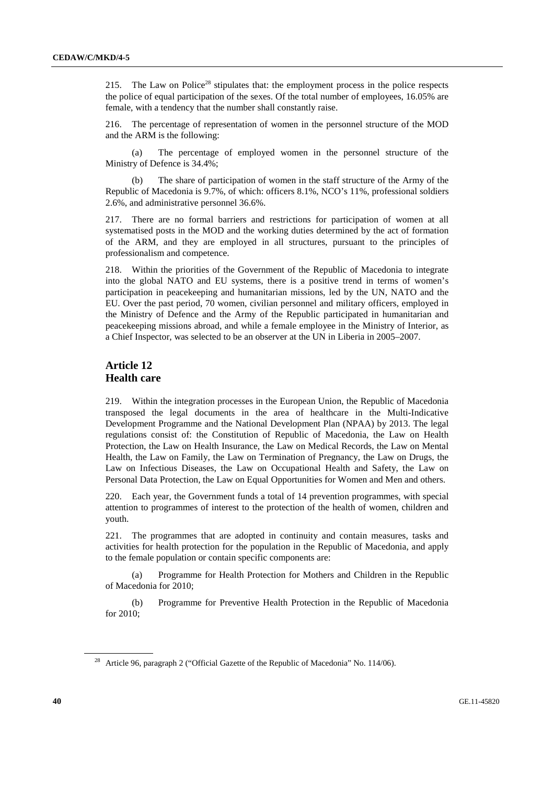215. The Law on Police<sup>28</sup> stipulates that: the employment process in the police respects the police of equal participation of the sexes. Of the total number of employees, 16.05% are female, with a tendency that the number shall constantly raise.

216. The percentage of representation of women in the personnel structure of the MOD and the ARM is the following:

 (a) The percentage of employed women in the personnel structure of the Ministry of Defence is 34.4%;

 (b) The share of participation of women in the staff structure of the Army of the Republic of Macedonia is 9.7%, of which: officers 8.1%, NCO's 11%, professional soldiers 2.6%, and administrative personnel 36.6%.

217. There are no formal barriers and restrictions for participation of women at all systematised posts in the MOD and the working duties determined by the act of formation of the ARM, and they are employed in all structures, pursuant to the principles of professionalism and competence.

218. Within the priorities of the Government of the Republic of Macedonia to integrate into the global NATO and EU systems, there is a positive trend in terms of women's participation in peacekeeping and humanitarian missions, led by the UN, NATO and the EU. Over the past period, 70 women, civilian personnel and military officers, employed in the Ministry of Defence and the Army of the Republic participated in humanitarian and peacekeeping missions abroad, and while a female employee in the Ministry of Interior, as a Chief Inspector, was selected to be an observer at the UN in Liberia in 2005–2007.

#### **Article 12 Health care**

219. Within the integration processes in the European Union, the Republic of Macedonia transposed the legal documents in the area of healthcare in the Multi-Indicative Development Programme and the National Development Plan (NPAA) by 2013. The legal regulations consist of: the Constitution of Republic of Macedonia, the Law on Health Protection, the Law on Health Insurance, the Law on Medical Records, the Law on Mental Health, the Law on Family, the Law on Termination of Pregnancy, the Law on Drugs, the Law on Infectious Diseases, the Law on Occupational Health and Safety, the Law on Personal Data Protection, the Law on Equal Opportunities for Women and Men and others.

220. Each year, the Government funds a total of 14 prevention programmes, with special attention to programmes of interest to the protection of the health of women, children and youth.

221. The programmes that are adopted in continuity and contain measures, tasks and activities for health protection for the population in the Republic of Macedonia, and apply to the female population or contain specific components are:

 (a) Programme for Health Protection for Mothers and Children in the Republic of Macedonia for 2010;

 (b) Programme for Preventive Health Protection in the Republic of Macedonia for 2010;

<sup>&</sup>lt;sup>28</sup> Article 96, paragraph 2 ("Official Gazette of the Republic of Macedonia" No. 114/06).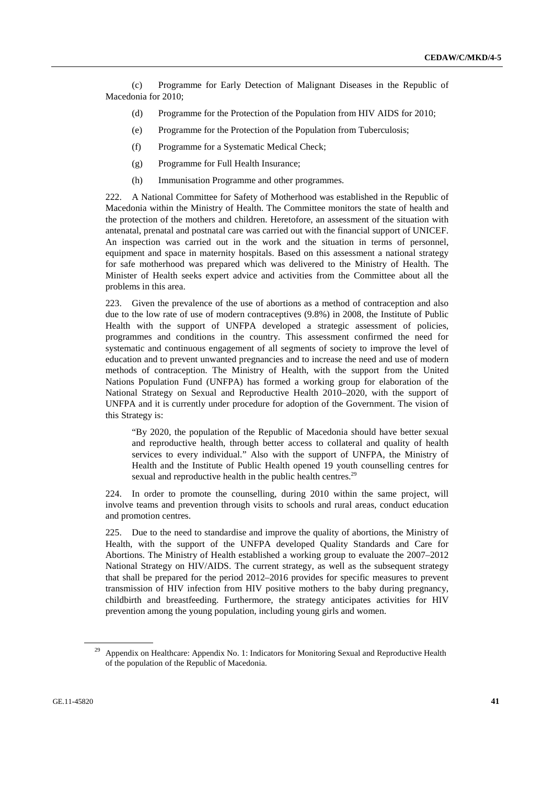(c) Programme for Early Detection of Malignant Diseases in the Republic of Macedonia for 2010;

- (d) Programme for the Protection of the Population from HIV AIDS for 2010;
- (e) Programme for the Protection of the Population from Tuberculosis;
- (f) Programme for a Systematic Medical Check;
- (g) Programme for Full Health Insurance;
- (h) Immunisation Programme and other programmes.

222. A National Committee for Safety of Motherhood was established in the Republic of Macedonia within the Ministry of Health. The Committee monitors the state of health and the protection of the mothers and children. Heretofore, an assessment of the situation with antenatal, prenatal and postnatal care was carried out with the financial support of UNICEF. An inspection was carried out in the work and the situation in terms of personnel, equipment and space in maternity hospitals. Based on this assessment a national strategy for safe motherhood was prepared which was delivered to the Ministry of Health. The Minister of Health seeks expert advice and activities from the Committee about all the problems in this area.

223. Given the prevalence of the use of abortions as a method of contraception and also due to the low rate of use of modern contraceptives (9.8%) in 2008, the Institute of Public Health with the support of UNFPA developed a strategic assessment of policies, programmes and conditions in the country. This assessment confirmed the need for systematic and continuous engagement of all segments of society to improve the level of education and to prevent unwanted pregnancies and to increase the need and use of modern methods of contraception. The Ministry of Health, with the support from the United Nations Population Fund (UNFPA) has formed a working group for elaboration of the National Strategy on Sexual and Reproductive Health 2010–2020, with the support of UNFPA and it is currently under procedure for adoption of the Government. The vision of this Strategy is:

 "By 2020, the population of the Republic of Macedonia should have better sexual and reproductive health, through better access to collateral and quality of health services to every individual." Also with the support of UNFPA, the Ministry of Health and the Institute of Public Health opened 19 youth counselling centres for sexual and reproductive health in the public health centres.<sup>29</sup>

224. In order to promote the counselling, during 2010 within the same project, will involve teams and prevention through visits to schools and rural areas, conduct education and promotion centres.

225. Due to the need to standardise and improve the quality of abortions, the Ministry of Health, with the support of the UNFPA developed Quality Standards and Care for Abortions. The Ministry of Health established a working group to evaluate the 2007–2012 National Strategy on HIV/AIDS. The current strategy, as well as the subsequent strategy that shall be prepared for the period 2012–2016 provides for specific measures to prevent transmission of HIV infection from HIV positive mothers to the baby during pregnancy, childbirth and breastfeeding. Furthermore, the strategy anticipates activities for HIV prevention among the young population, including young girls and women.

Appendix on Healthcare: Appendix No. 1: Indicators for Monitoring Sexual and Reproductive Health of the population of the Republic of Macedonia.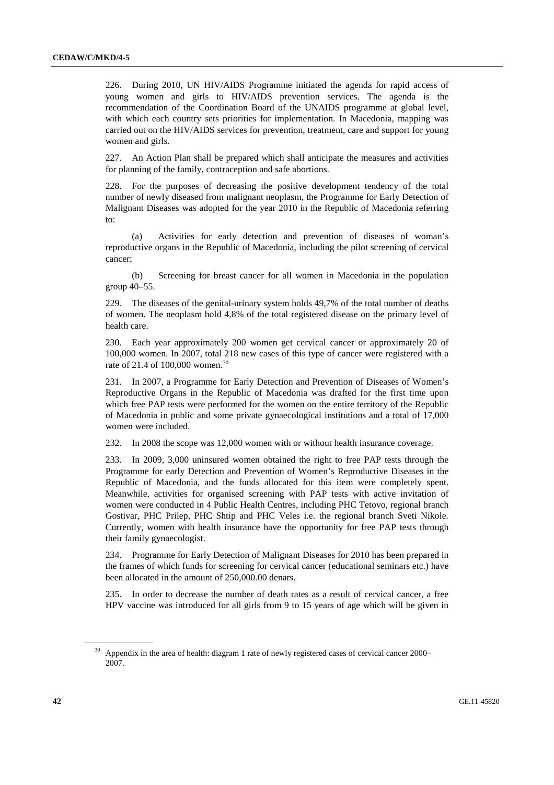226. During 2010, UN HIV/AIDS Programme initiated the agenda for rapid access of young women and girls to HIV/AIDS prevention services. The agenda is the recommendation of the Coordination Board of the UNAIDS programme at global level, with which each country sets priorities for implementation. In Macedonia, mapping was carried out on the HIV/AIDS services for prevention, treatment, care and support for young women and girls.

227. An Action Plan shall be prepared which shall anticipate the measures and activities for planning of the family, contraception and safe abortions.

228. For the purposes of decreasing the positive development tendency of the total number of newly diseased from malignant neoplasm, the Programme for Early Detection of Malignant Diseases was adopted for the year 2010 in the Republic of Macedonia referring to:

 (a) Activities for early detection and prevention of diseases of woman's reproductive organs in the Republic of Macedonia, including the pilot screening of cervical cancer;

 (b) Screening for breast cancer for all women in Macedonia in the population group 40–55.

229. The diseases of the genital-urinary system holds 49,7% of the total number of deaths of women. The neoplasm hold 4,8% of the total registered disease on the primary level of health care.

230. Each year approximately 200 women get cervical cancer or approximately 20 of 100,000 women. In 2007, total 218 new cases of this type of cancer were registered with a rate of 21.4 of 100,000 women.<sup>30</sup>

231. In 2007, a Programme for Early Detection and Prevention of Diseases of Women's Reproductive Organs in the Republic of Macedonia was drafted for the first time upon which free PAP tests were performed for the women on the entire territory of the Republic of Macedonia in public and some private gynaecological institutions and a total of 17,000 women were included.

232. In 2008 the scope was 12,000 women with or without health insurance coverage.

233. In 2009, 3,000 uninsured women obtained the right to free PAP tests through the Programme for early Detection and Prevention of Women's Reproductive Diseases in the Republic of Macedonia, and the funds allocated for this item were completely spent. Meanwhile, activities for organised screening with PAP tests with active invitation of women were conducted in 4 Public Health Centres, including PHC Tetovo, regional branch Gostivar, PHC Prilep, PHC Shtip and PHC Veles i.e. the regional branch Sveti Nikole. Currently, women with health insurance have the opportunity for free PAP tests through their family gynaecologist.

234. Programme for Early Detection of Malignant Diseases for 2010 has been prepared in the frames of which funds for screening for cervical cancer (educational seminars etc.) have been allocated in the amount of 250,000.00 denars.

235. In order to decrease the number of death rates as a result of cervical cancer, a free HPV vaccine was introduced for all girls from 9 to 15 years of age which will be given in

<sup>&</sup>lt;sup>30</sup> Appendix in the area of health: diagram 1 rate of newly registered cases of cervical cancer 2000– 2007.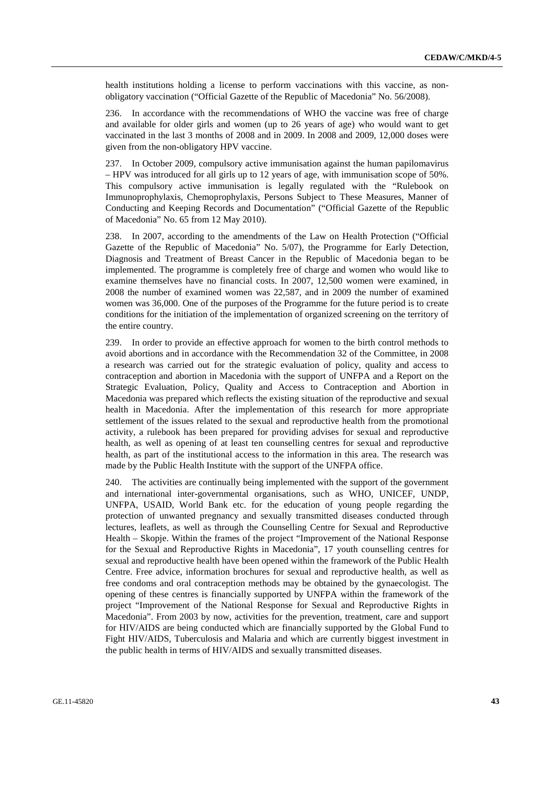health institutions holding a license to perform vaccinations with this vaccine, as nonobligatory vaccination ("Official Gazette of the Republic of Macedonia" No. 56/2008).

236. In accordance with the recommendations of WHO the vaccine was free of charge and available for older girls and women (up to 26 years of age) who would want to get vaccinated in the last 3 months of 2008 and in 2009. In 2008 and 2009, 12,000 doses were given from the non-obligatory HPV vaccine.

237. In October 2009, compulsory active immunisation against the human papilomavirus – HPV was introduced for all girls up to 12 years of age, with immunisation scope of 50%. This compulsory active immunisation is legally regulated with the "Rulebook on Immunoprophylaxis, Chemoprophylaxis, Persons Subject to These Measures, Manner of Conducting and Keeping Records and Documentation" ("Official Gazette of the Republic of Macedonia" No. 65 from 12 May 2010).

238. In 2007, according to the amendments of the Law on Health Protection ("Official Gazette of the Republic of Macedonia" No. 5/07), the Programme for Early Detection, Diagnosis and Treatment of Breast Cancer in the Republic of Macedonia began to be implemented. The programme is completely free of charge and women who would like to examine themselves have no financial costs. In 2007, 12,500 women were examined, in 2008 the number of examined women was 22,587, and in 2009 the number of examined women was 36,000. One of the purposes of the Programme for the future period is to create conditions for the initiation of the implementation of organized screening on the territory of the entire country.

239. In order to provide an effective approach for women to the birth control methods to avoid abortions and in accordance with the Recommendation 32 of the Committee, in 2008 a research was carried out for the strategic evaluation of policy, quality and access to contraception and abortion in Macedonia with the support of UNFPA and a Report on the Strategic Evaluation, Policy, Quality and Access to Contraception and Abortion in Macedonia was prepared which reflects the existing situation of the reproductive and sexual health in Macedonia. After the implementation of this research for more appropriate settlement of the issues related to the sexual and reproductive health from the promotional activity, a rulebook has been prepared for providing advises for sexual and reproductive health, as well as opening of at least ten counselling centres for sexual and reproductive health, as part of the institutional access to the information in this area. The research was made by the Public Health Institute with the support of the UNFPA office.

240. The activities are continually being implemented with the support of the government and international inter-governmental organisations, such as WHO, UNICEF, UNDP, UNFPA, USAID, World Bank etc. for the education of young people regarding the protection of unwanted pregnancy and sexually transmitted diseases conducted through lectures, leaflets, as well as through the Counselling Centre for Sexual and Reproductive Health – Skopje. Within the frames of the project "Improvement of the National Response for the Sexual and Reproductive Rights in Macedonia", 17 youth counselling centres for sexual and reproductive health have been opened within the framework of the Public Health Centre. Free advice, information brochures for sexual and reproductive health, as well as free condoms and oral contraception methods may be obtained by the gynaecologist. The opening of these centres is financially supported by UNFPA within the framework of the project "Improvement of the National Response for Sexual and Reproductive Rights in Macedonia". From 2003 by now, activities for the prevention, treatment, care and support for HIV/AIDS are being conducted which are financially supported by the Global Fund to Fight HIV/AIDS, Tuberculosis and Malaria and which are currently biggest investment in the public health in terms of HIV/AIDS and sexually transmitted diseases.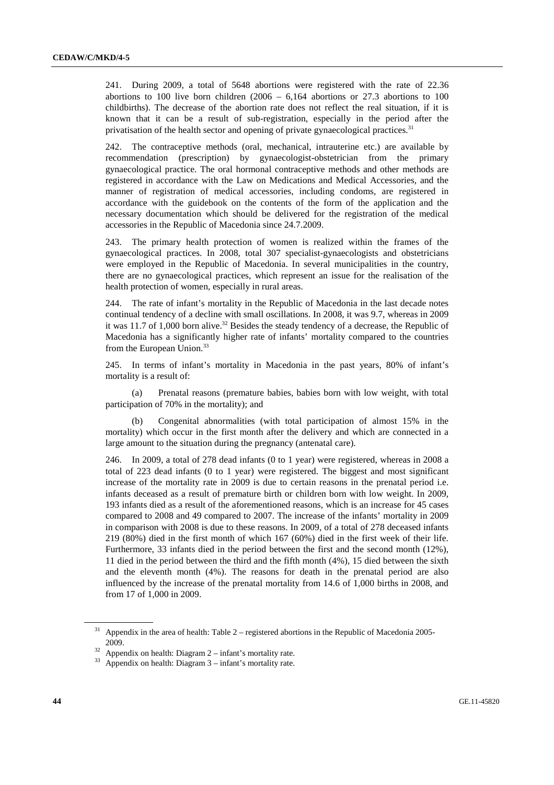241. During 2009, a total of 5648 abortions were registered with the rate of 22.36 abortions to 100 live born children  $(2006 - 6,164)$  abortions or 27.3 abortions to 100 childbirths). The decrease of the abortion rate does not reflect the real situation, if it is known that it can be a result of sub-registration, especially in the period after the privatisation of the health sector and opening of private gynaecological practices.<sup>31</sup>

242. The contraceptive methods (oral, mechanical, intrauterine etc.) are available by recommendation (prescription) by gynaecologist-obstetrician from the primary gynaecological practice. The oral hormonal contraceptive methods and other methods are registered in accordance with the Law on Medications and Medical Accessories, and the manner of registration of medical accessories, including condoms, are registered in accordance with the guidebook on the contents of the form of the application and the necessary documentation which should be delivered for the registration of the medical accessories in the Republic of Macedonia since 24.7.2009.

243. The primary health protection of women is realized within the frames of the gynaecological practices. In 2008, total 307 specialist-gynaecologists and obstetricians were employed in the Republic of Macedonia. In several municipalities in the country, there are no gynaecological practices, which represent an issue for the realisation of the health protection of women, especially in rural areas.

244. The rate of infant's mortality in the Republic of Macedonia in the last decade notes continual tendency of a decline with small oscillations. In 2008, it was 9.7, whereas in 2009 it was 11.7 of 1,000 born alive.<sup>32</sup> Besides the steady tendency of a decrease, the Republic of Macedonia has a significantly higher rate of infants' mortality compared to the countries from the European Union.<sup>33</sup>

245. In terms of infant's mortality in Macedonia in the past years, 80% of infant's mortality is a result of:

 (a) Prenatal reasons (premature babies, babies born with low weight, with total participation of 70% in the mortality); and

 (b) Congenital abnormalities (with total participation of almost 15% in the mortality) which occur in the first month after the delivery and which are connected in a large amount to the situation during the pregnancy (antenatal care).

246. In 2009, a total of 278 dead infants (0 to 1 year) were registered, whereas in 2008 a total of 223 dead infants (0 to 1 year) were registered. The biggest and most significant increase of the mortality rate in 2009 is due to certain reasons in the prenatal period i.e. infants deceased as a result of premature birth or children born with low weight. In 2009, 193 infants died as a result of the aforementioned reasons, which is an increase for 45 cases compared to 2008 and 49 compared to 2007. The increase of the infants' mortality in 2009 in comparison with 2008 is due to these reasons. In 2009, of a total of 278 deceased infants 219 (80%) died in the first month of which 167 (60%) died in the first week of their life. Furthermore, 33 infants died in the period between the first and the second month (12%), 11 died in the period between the third and the fifth month (4%), 15 died between the sixth and the eleventh month (4%). The reasons for death in the prenatal period are also influenced by the increase of the prenatal mortality from 14.6 of 1,000 births in 2008, and from 17 of 1,000 in 2009.

Appendix in the area of health: Table  $2$  – registered abortions in the Republic of Macedonia 2005-2009.<br><sup>32</sup> Appendix on health: Diagram  $2 - \text{infant's mortality rate.}$ 

 $33$  Appendix on health: Diagram  $3$  – infant's mortality rate.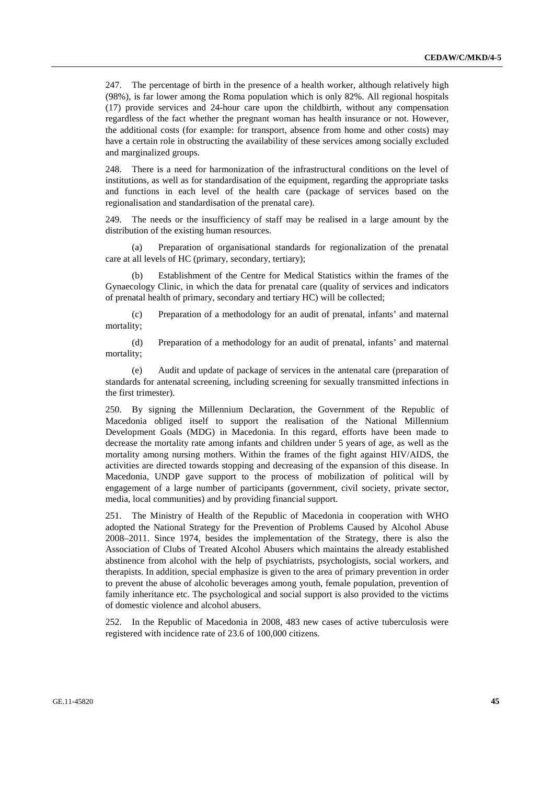247. The percentage of birth in the presence of a health worker, although relatively high (98%), is far lower among the Roma population which is only 82%. All regional hospitals (17) provide services and 24-hour care upon the childbirth, without any compensation regardless of the fact whether the pregnant woman has health insurance or not. However, the additional costs (for example: for transport, absence from home and other costs) may have a certain role in obstructing the availability of these services among socially excluded and marginalized groups.

248. There is a need for harmonization of the infrastructural conditions on the level of institutions, as well as for standardisation of the equipment, regarding the appropriate tasks and functions in each level of the health care (package of services based on the regionalisation and standardisation of the prenatal care).

249. The needs or the insufficiency of staff may be realised in a large amount by the distribution of the existing human resources.

 (a) Preparation of organisational standards for regionalization of the prenatal care at all levels of HC (primary, secondary, tertiary);

 (b) Establishment of the Centre for Medical Statistics within the frames of the Gynaecology Clinic, in which the data for prenatal care (quality of services and indicators of prenatal health of primary, secondary and tertiary HC) will be collected;

 (c) Preparation of a methodology for an audit of prenatal, infants' and maternal mortality;

 (d) Preparation of a methodology for an audit of prenatal, infants' and maternal mortality;

 (e) Audit and update of package of services in the antenatal care (preparation of standards for antenatal screening, including screening for sexually transmitted infections in the first trimester).

250. By signing the Millennium Declaration, the Government of the Republic of Macedonia obliged itself to support the realisation of the National Millennium Development Goals (MDG) in Macedonia. In this regard, efforts have been made to decrease the mortality rate among infants and children under 5 years of age, as well as the mortality among nursing mothers. Within the frames of the fight against HIV/AIDS, the activities are directed towards stopping and decreasing of the expansion of this disease. In Macedonia, UNDP gave support to the process of mobilization of political will by engagement of a large number of participants (government, civil society, private sector, media, local communities) and by providing financial support.

251. The Ministry of Health of the Republic of Macedonia in cooperation with WHO adopted the National Strategy for the Prevention of Problems Caused by Alcohol Abuse 2008–2011. Since 1974, besides the implementation of the Strategy, there is also the Association of Clubs of Treated Alcohol Abusers which maintains the already established abstinence from alcohol with the help of psychiatrists, psychologists, social workers, and therapists. In addition, special emphasize is given to the area of primary prevention in order to prevent the abuse of alcoholic beverages among youth, female population, prevention of family inheritance etc. The psychological and social support is also provided to the victims of domestic violence and alcohol abusers.

In the Republic of Macedonia in 2008, 483 new cases of active tuberculosis were registered with incidence rate of 23.6 of 100,000 citizens.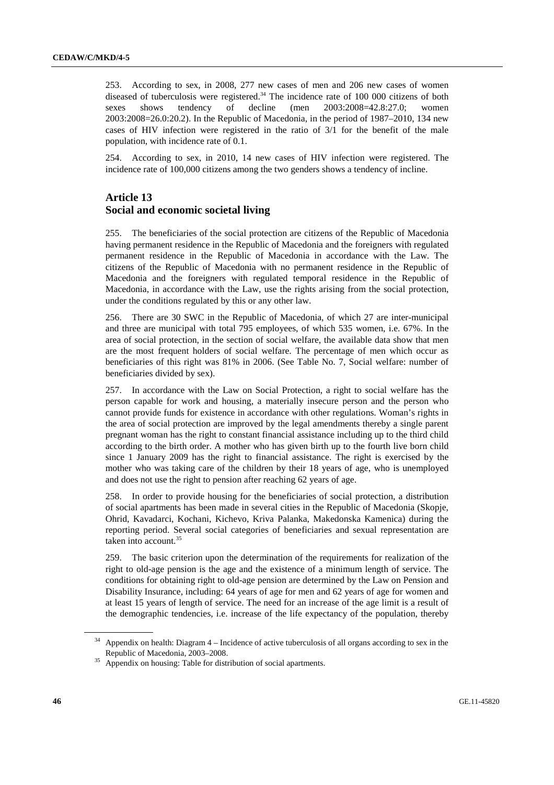253. According to sex, in 2008, 277 new cases of men and 206 new cases of women diseased of tuberculosis were registered. $34$  The incidence rate of 100 000 citizens of both sexes shows tendency of decline (men 2003:2008=42.8:27.0; women 2003:2008=26.0:20.2). In the Republic of Macedonia, in the period of 1987–2010, 134 new cases of HIV infection were registered in the ratio of 3/1 for the benefit of the male population, with incidence rate of 0.1.

254. According to sex, in 2010, 14 new cases of HIV infection were registered. The incidence rate of 100,000 citizens among the two genders shows a tendency of incline.

#### **Article 13 Social and economic societal living**

255. The beneficiaries of the social protection are citizens of the Republic of Macedonia having permanent residence in the Republic of Macedonia and the foreigners with regulated permanent residence in the Republic of Macedonia in accordance with the Law. The citizens of the Republic of Macedonia with no permanent residence in the Republic of Macedonia and the foreigners with regulated temporal residence in the Republic of Macedonia, in accordance with the Law, use the rights arising from the social protection, under the conditions regulated by this or any other law.

256. There are 30 SWC in the Republic of Macedonia, of which 27 are inter-municipal and three are municipal with total 795 employees, of which 535 women, i.e. 67%. In the area of social protection, in the section of social welfare, the available data show that men are the most frequent holders of social welfare. The percentage of men which occur as beneficiaries of this right was 81% in 2006. (See Table No. 7, Social welfare: number of beneficiaries divided by sex).

257. In accordance with the Law on Social Protection, a right to social welfare has the person capable for work and housing, a materially insecure person and the person who cannot provide funds for existence in accordance with other regulations. Woman's rights in the area of social protection are improved by the legal amendments thereby a single parent pregnant woman has the right to constant financial assistance including up to the third child according to the birth order. A mother who has given birth up to the fourth live born child since 1 January 2009 has the right to financial assistance. The right is exercised by the mother who was taking care of the children by their 18 years of age, who is unemployed and does not use the right to pension after reaching 62 years of age.

258. In order to provide housing for the beneficiaries of social protection, a distribution of social apartments has been made in several cities in the Republic of Macedonia (Skopje, Ohrid, Kavadarci, Kochani, Kichevo, Kriva Palanka, Makedonska Kamenica) during the reporting period. Several social categories of beneficiaries and sexual representation are taken into account.<sup>35</sup>

259. The basic criterion upon the determination of the requirements for realization of the right to old-age pension is the age and the existence of a minimum length of service. The conditions for obtaining right to old-age pension are determined by the Law on Pension and Disability Insurance, including: 64 years of age for men and 62 years of age for women and at least 15 years of length of service. The need for an increase of the age limit is a result of the demographic tendencies, i.e. increase of the life expectancy of the population, thereby

Appendix on health: Diagram 4 – Incidence of active tuberculosis of all organs according to sex in the

Republic of Macedonia, 2003–2008. 35 Appendix on housing: Table for distribution of social apartments.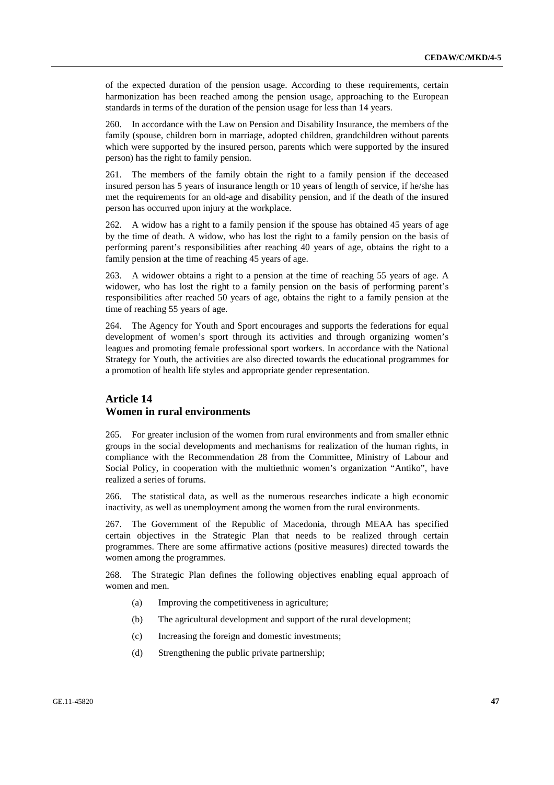of the expected duration of the pension usage. According to these requirements, certain harmonization has been reached among the pension usage, approaching to the European standards in terms of the duration of the pension usage for less than 14 years.

260. In accordance with the Law on Pension and Disability Insurance, the members of the family (spouse, children born in marriage, adopted children, grandchildren without parents which were supported by the insured person, parents which were supported by the insured person) has the right to family pension.

261. The members of the family obtain the right to a family pension if the deceased insured person has 5 years of insurance length or 10 years of length of service, if he/she has met the requirements for an old-age and disability pension, and if the death of the insured person has occurred upon injury at the workplace.

262. A widow has a right to a family pension if the spouse has obtained 45 years of age by the time of death. A widow, who has lost the right to a family pension on the basis of performing parent's responsibilities after reaching 40 years of age, obtains the right to a family pension at the time of reaching 45 years of age.

263. A widower obtains a right to a pension at the time of reaching 55 years of age. A widower, who has lost the right to a family pension on the basis of performing parent's responsibilities after reached 50 years of age, obtains the right to a family pension at the time of reaching 55 years of age.

264. The Agency for Youth and Sport encourages and supports the federations for equal development of women's sport through its activities and through organizing women's leagues and promoting female professional sport workers. In accordance with the National Strategy for Youth, the activities are also directed towards the educational programmes for a promotion of health life styles and appropriate gender representation.

#### **Article 14 Women in rural environments**

265. For greater inclusion of the women from rural environments and from smaller ethnic groups in the social developments and mechanisms for realization of the human rights, in compliance with the Recommendation 28 from the Committee, Ministry of Labour and Social Policy, in cooperation with the multiethnic women's organization "Antiko", have realized a series of forums.

266. The statistical data, as well as the numerous researches indicate a high economic inactivity, as well as unemployment among the women from the rural environments.

267. The Government of the Republic of Macedonia, through MEAA has specified certain objectives in the Strategic Plan that needs to be realized through certain programmes. There are some affirmative actions (positive measures) directed towards the women among the programmes.

268. The Strategic Plan defines the following objectives enabling equal approach of women and men.

- (a) Improving the competitiveness in agriculture;
- (b) The agricultural development and support of the rural development;
- (c) Increasing the foreign and domestic investments;
- (d) Strengthening the public private partnership;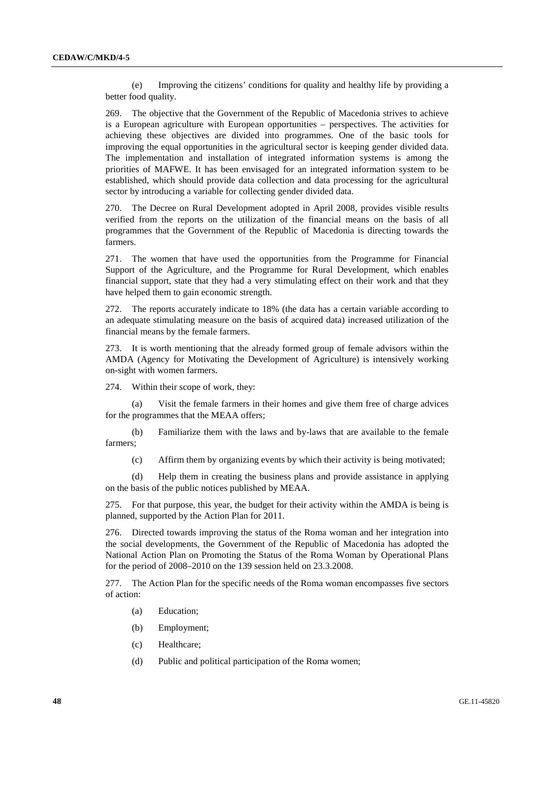(e) Improving the citizens' conditions for quality and healthy life by providing a better food quality.

269. The objective that the Government of the Republic of Macedonia strives to achieve is a European agriculture with European opportunities – perspectives. The activities for achieving these objectives are divided into programmes. One of the basic tools for improving the equal opportunities in the agricultural sector is keeping gender divided data. The implementation and installation of integrated information systems is among the priorities of MAFWE. It has been envisaged for an integrated information system to be established, which should provide data collection and data processing for the agricultural sector by introducing a variable for collecting gender divided data.

270. The Decree on Rural Development adopted in April 2008, provides visible results verified from the reports on the utilization of the financial means on the basis of all programmes that the Government of the Republic of Macedonia is directing towards the farmers.

271. The women that have used the opportunities from the Programme for Financial Support of the Agriculture, and the Programme for Rural Development, which enables financial support, state that they had a very stimulating effect on their work and that they have helped them to gain economic strength.

272. The reports accurately indicate to 18% (the data has a certain variable according to an adequate stimulating measure on the basis of acquired data) increased utilization of the financial means by the female farmers.

273. It is worth mentioning that the already formed group of female advisors within the AMDA (Agency for Motivating the Development of Agriculture) is intensively working on-sight with women farmers.

274. Within their scope of work, they:

 (a) Visit the female farmers in their homes and give them free of charge advices for the programmes that the MEAA offers;

 (b) Familiarize them with the laws and by-laws that are available to the female farmers;

(c) Affirm them by organizing events by which their activity is being motivated;

 (d) Help them in creating the business plans and provide assistance in applying on the basis of the public notices published by MEAA.

275. For that purpose, this year, the budget for their activity within the AMDA is being is planned, supported by the Action Plan for 2011.

276. Directed towards improving the status of the Roma woman and her integration into the social developments, the Government of the Republic of Macedonia has adopted the National Action Plan on Promoting the Status of the Roma Woman by Operational Plans for the period of 2008–2010 on the 139 session held on 23.3.2008.

277. The Action Plan for the specific needs of the Roma woman encompasses five sectors of action:

- (a) Education;
- (b) Employment;
- (c) Healthcare;
- (d) Public and political participation of the Roma women;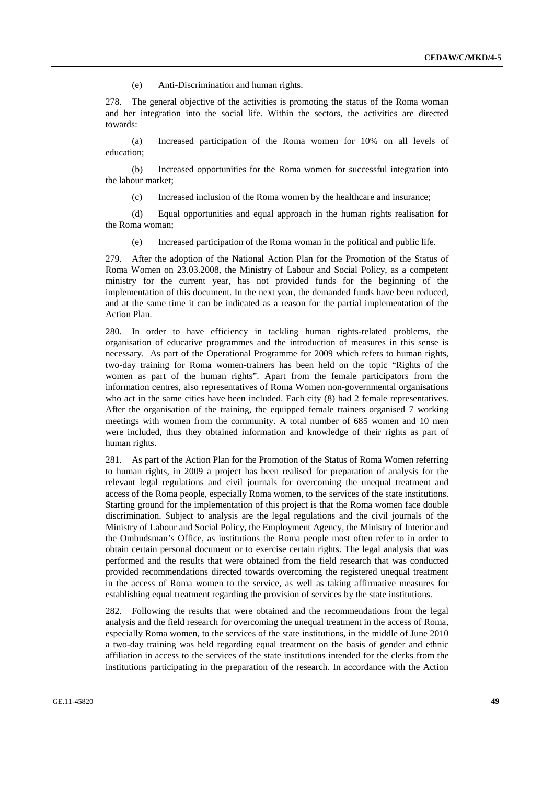(e) Anti-Discrimination and human rights.

278. The general objective of the activities is promoting the status of the Roma woman and her integration into the social life. Within the sectors, the activities are directed towards:

 (a) Increased participation of the Roma women for 10% on all levels of education;

 (b) Increased opportunities for the Roma women for successful integration into the labour market;

(c) Increased inclusion of the Roma women by the healthcare and insurance;

 (d) Equal opportunities and equal approach in the human rights realisation for the Roma woman;

(e) Increased participation of the Roma woman in the political and public life.

279. After the adoption of the National Action Plan for the Promotion of the Status of Roma Women on 23.03.2008, the Ministry of Labour and Social Policy, as a competent ministry for the current year, has not provided funds for the beginning of the implementation of this document. In the next year, the demanded funds have been reduced, and at the same time it can be indicated as a reason for the partial implementation of the Action Plan.

280. In order to have efficiency in tackling human rights-related problems, the organisation of educative programmes and the introduction of measures in this sense is necessary. As part of the Operational Programme for 2009 which refers to human rights, two-day training for Roma women-trainers has been held on the topic "Rights of the women as part of the human rights". Apart from the female participators from the information centres, also representatives of Roma Women non-governmental organisations who act in the same cities have been included. Each city  $(8)$  had 2 female representatives. After the organisation of the training, the equipped female trainers organised 7 working meetings with women from the community. A total number of 685 women and 10 men were included, thus they obtained information and knowledge of their rights as part of human rights.

281. As part of the Action Plan for the Promotion of the Status of Roma Women referring to human rights, in 2009 a project has been realised for preparation of analysis for the relevant legal regulations and civil journals for overcoming the unequal treatment and access of the Roma people, especially Roma women, to the services of the state institutions. Starting ground for the implementation of this project is that the Roma women face double discrimination. Subject to analysis are the legal regulations and the civil journals of the Ministry of Labour and Social Policy, the Employment Agency, the Ministry of Interior and the Ombudsman's Office, as institutions the Roma people most often refer to in order to obtain certain personal document or to exercise certain rights. The legal analysis that was performed and the results that were obtained from the field research that was conducted provided recommendations directed towards overcoming the registered unequal treatment in the access of Roma women to the service, as well as taking affirmative measures for establishing equal treatment regarding the provision of services by the state institutions.

282. Following the results that were obtained and the recommendations from the legal analysis and the field research for overcoming the unequal treatment in the access of Roma, especially Roma women, to the services of the state institutions, in the middle of June 2010 a two-day training was held regarding equal treatment on the basis of gender and ethnic affiliation in access to the services of the state institutions intended for the clerks from the institutions participating in the preparation of the research. In accordance with the Action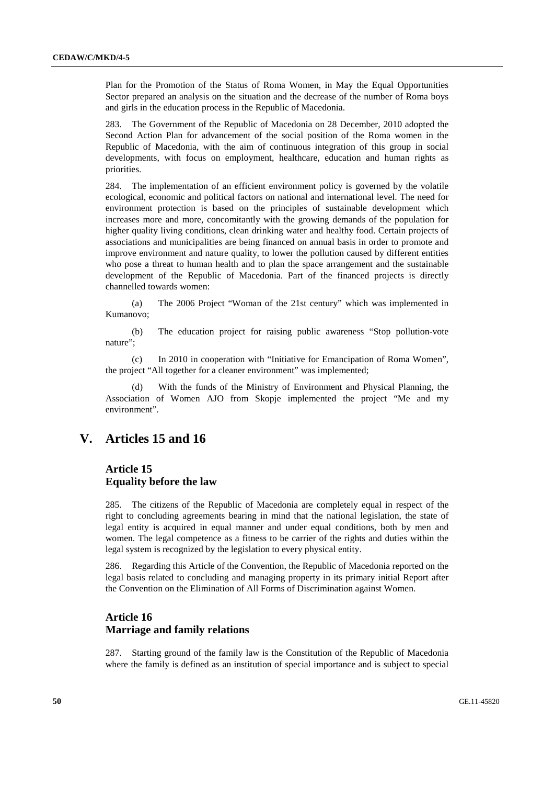Plan for the Promotion of the Status of Roma Women, in May the Equal Opportunities Sector prepared an analysis on the situation and the decrease of the number of Roma boys and girls in the education process in the Republic of Macedonia.

283. The Government of the Republic of Macedonia on 28 December, 2010 adopted the Second Action Plan for advancement of the social position of the Roma women in the Republic of Macedonia, with the aim of continuous integration of this group in social developments, with focus on employment, healthcare, education and human rights as priorities.

284. The implementation of an efficient environment policy is governed by the volatile ecological, economic and political factors on national and international level. The need for environment protection is based on the principles of sustainable development which increases more and more, concomitantly with the growing demands of the population for higher quality living conditions, clean drinking water and healthy food. Certain projects of associations and municipalities are being financed on annual basis in order to promote and improve environment and nature quality, to lower the pollution caused by different entities who pose a threat to human health and to plan the space arrangement and the sustainable development of the Republic of Macedonia. Part of the financed projects is directly channelled towards women:

 (a) The 2006 Project "Woman of the 21st century" which was implemented in Kumanovo;

 (b) The education project for raising public awareness "Stop pollution-vote nature":

 (c) In 2010 in cooperation with "Initiative for Emancipation of Roma Women", the project "All together for a cleaner environment" was implemented;

 (d) With the funds of the Ministry of Environment and Physical Planning, the Association of Women AJO from Skopje implemented the project "Me and my environment".

## **V. Articles 15 and 16**

### **Article 15 Equality before the law**

285. The citizens of the Republic of Macedonia are completely equal in respect of the right to concluding agreements bearing in mind that the national legislation, the state of legal entity is acquired in equal manner and under equal conditions, both by men and women. The legal competence as a fitness to be carrier of the rights and duties within the legal system is recognized by the legislation to every physical entity.

286. Regarding this Article of the Convention, the Republic of Macedonia reported on the legal basis related to concluding and managing property in its primary initial Report after the Convention on the Elimination of All Forms of Discrimination against Women.

#### **Article 16 Marriage and family relations**

287. Starting ground of the family law is the Constitution of the Republic of Macedonia where the family is defined as an institution of special importance and is subject to special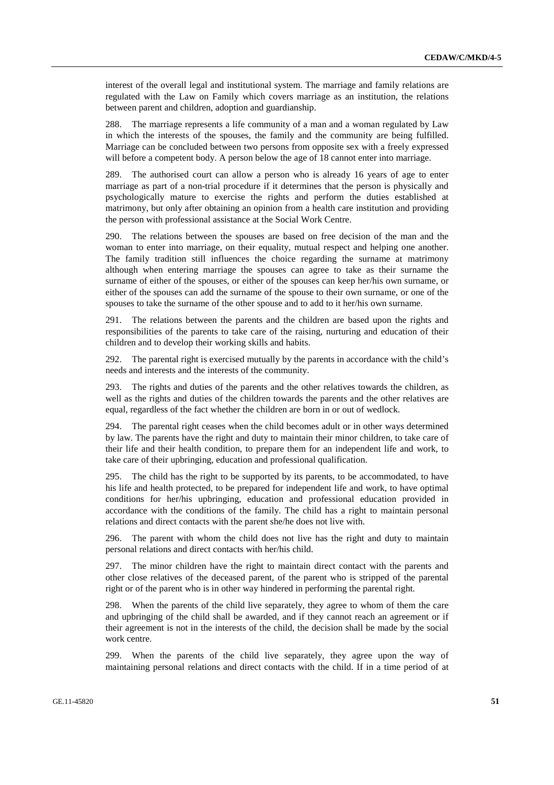interest of the overall legal and institutional system. The marriage and family relations are regulated with the Law on Family which covers marriage as an institution, the relations between parent and children, adoption and guardianship.

288. The marriage represents a life community of a man and a woman regulated by Law in which the interests of the spouses, the family and the community are being fulfilled. Marriage can be concluded between two persons from opposite sex with a freely expressed will before a competent body. A person below the age of 18 cannot enter into marriage.

289. The authorised court can allow a person who is already 16 years of age to enter marriage as part of a non-trial procedure if it determines that the person is physically and psychologically mature to exercise the rights and perform the duties established at matrimony, but only after obtaining an opinion from a health care institution and providing the person with professional assistance at the Social Work Centre.

290. The relations between the spouses are based on free decision of the man and the woman to enter into marriage, on their equality, mutual respect and helping one another. The family tradition still influences the choice regarding the surname at matrimony although when entering marriage the spouses can agree to take as their surname the surname of either of the spouses, or either of the spouses can keep her/his own surname, or either of the spouses can add the surname of the spouse to their own surname, or one of the spouses to take the surname of the other spouse and to add to it her/his own surname.

291. The relations between the parents and the children are based upon the rights and responsibilities of the parents to take care of the raising, nurturing and education of their children and to develop their working skills and habits.

292. The parental right is exercised mutually by the parents in accordance with the child's needs and interests and the interests of the community.

293. The rights and duties of the parents and the other relatives towards the children, as well as the rights and duties of the children towards the parents and the other relatives are equal, regardless of the fact whether the children are born in or out of wedlock.

294. The parental right ceases when the child becomes adult or in other ways determined by law. The parents have the right and duty to maintain their minor children, to take care of their life and their health condition, to prepare them for an independent life and work, to take care of their upbringing, education and professional qualification.

295. The child has the right to be supported by its parents, to be accommodated, to have his life and health protected, to be prepared for independent life and work, to have optimal conditions for her/his upbringing, education and professional education provided in accordance with the conditions of the family. The child has a right to maintain personal relations and direct contacts with the parent she/he does not live with.

296. The parent with whom the child does not live has the right and duty to maintain personal relations and direct contacts with her/his child.

297. The minor children have the right to maintain direct contact with the parents and other close relatives of the deceased parent, of the parent who is stripped of the parental right or of the parent who is in other way hindered in performing the parental right.

298. When the parents of the child live separately, they agree to whom of them the care and upbringing of the child shall be awarded, and if they cannot reach an agreement or if their agreement is not in the interests of the child, the decision shall be made by the social work centre.

299. When the parents of the child live separately, they agree upon the way of maintaining personal relations and direct contacts with the child. If in a time period of at